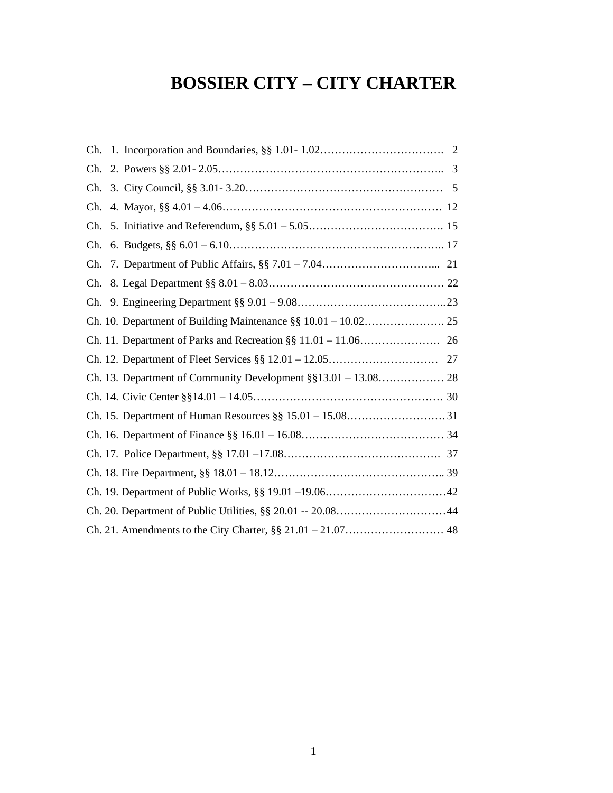# **BOSSIER CITY – CITY CHARTER**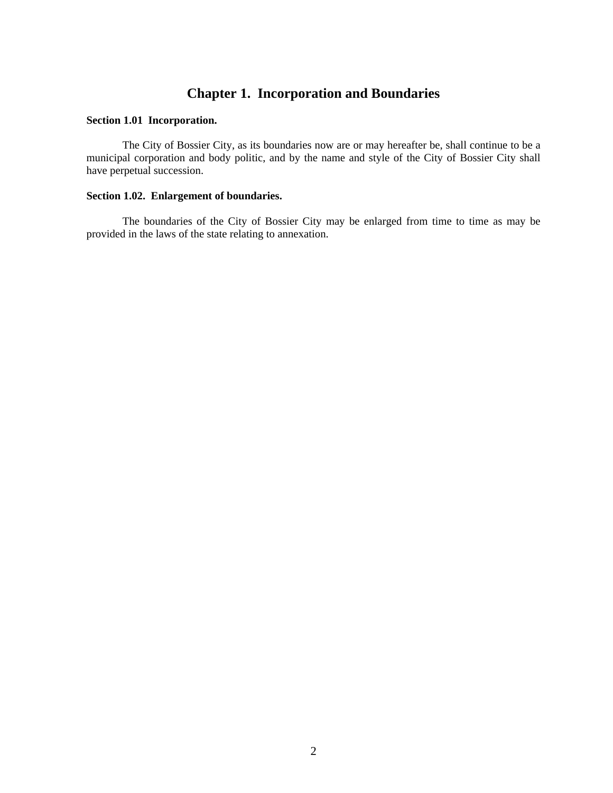# **Chapter 1. Incorporation and Boundaries**

#### **Section 1.01 Incorporation.**

The City of Bossier City, as its boundaries now are or may hereafter be, shall continue to be a municipal corporation and body politic, and by the name and style of the City of Bossier City shall have perpetual succession.

#### **Section 1.02. Enlargement of boundaries.**

The boundaries of the City of Bossier City may be enlarged from time to time as may be provided in the laws of the state relating to annexation.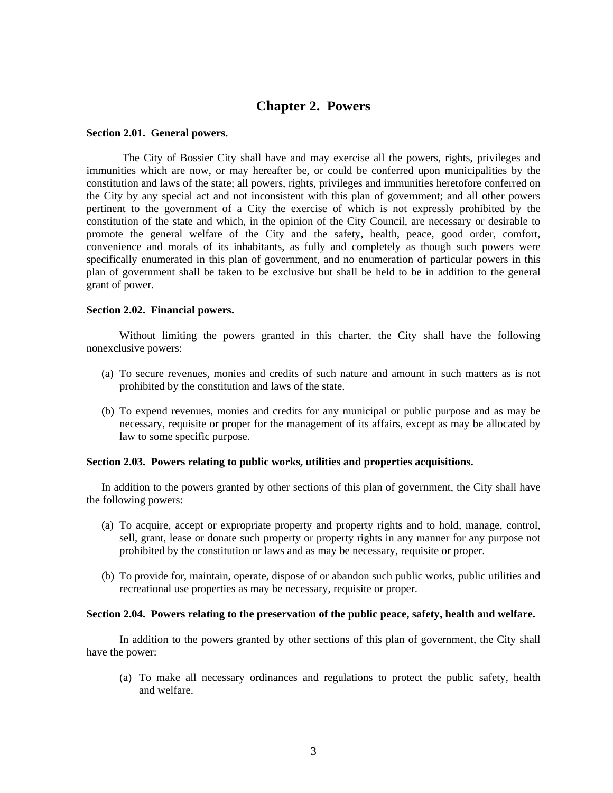# **Chapter 2. Powers**

#### **Section 2.01. General powers.**

The City of Bossier City shall have and may exercise all the powers, rights, privileges and immunities which are now, or may hereafter be, or could be conferred upon municipalities by the constitution and laws of the state; all powers, rights, privileges and immunities heretofore conferred on the City by any special act and not inconsistent with this plan of government; and all other powers pertinent to the government of a City the exercise of which is not expressly prohibited by the constitution of the state and which, in the opinion of the City Council, are necessary or desirable to promote the general welfare of the City and the safety, health, peace, good order, comfort, convenience and morals of its inhabitants, as fully and completely as though such powers were specifically enumerated in this plan of government, and no enumeration of particular powers in this plan of government shall be taken to be exclusive but shall be held to be in addition to the general grant of power.

#### **Section 2.02. Financial powers.**

Without limiting the powers granted in this charter, the City shall have the following nonexclusive powers:

- (a) To secure revenues, monies and credits of such nature and amount in such matters as is not prohibited by the constitution and laws of the state.
- (b) To expend revenues, monies and credits for any municipal or public purpose and as may be necessary, requisite or proper for the management of its affairs, except as may be allocated by law to some specific purpose.

#### **Section 2.03. Powers relating to public works, utilities and properties acquisitions.**

In addition to the powers granted by other sections of this plan of government, the City shall have the following powers:

- (a) To acquire, accept or expropriate property and property rights and to hold, manage, control, sell, grant, lease or donate such property or property rights in any manner for any purpose not prohibited by the constitution or laws and as may be necessary, requisite or proper.
- (b) To provide for, maintain, operate, dispose of or abandon such public works, public utilities and recreational use properties as may be necessary, requisite or proper.

#### **Section 2.04. Powers relating to the preservation of the public peace, safety, health and welfare.**

In addition to the powers granted by other sections of this plan of government, the City shall have the power:

(a) To make all necessary ordinances and regulations to protect the public safety, health and welfare.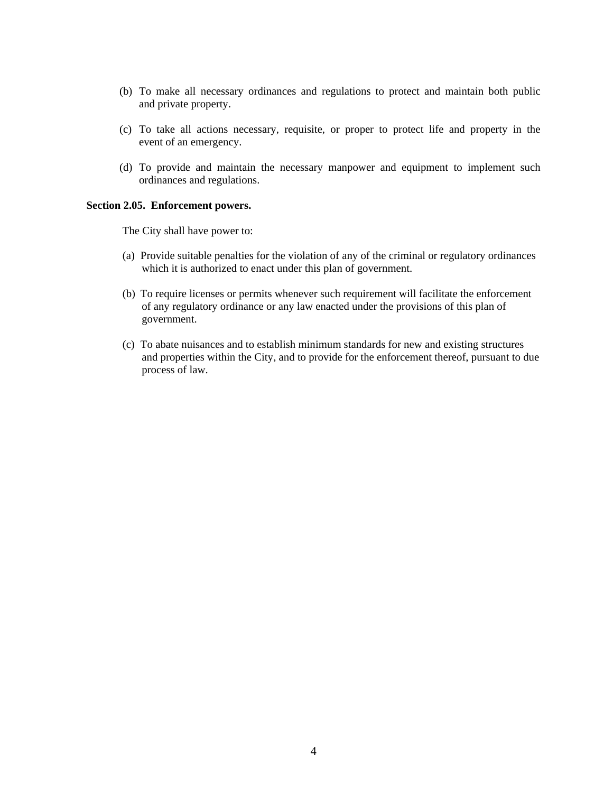- (b) To make all necessary ordinances and regulations to protect and maintain both public and private property.
- (c) To take all actions necessary, requisite, or proper to protect life and property in the event of an emergency.
- (d) To provide and maintain the necessary manpower and equipment to implement such ordinances and regulations.

#### **Section 2.05. Enforcement powers.**

The City shall have power to:

- (a) Provide suitable penalties for the violation of any of the criminal or regulatory ordinances which it is authorized to enact under this plan of government.
- (b) To require licenses or permits whenever such requirement will facilitate the enforcement of any regulatory ordinance or any law enacted under the provisions of this plan of government.
- (c) To abate nuisances and to establish minimum standards for new and existing structures and properties within the City, and to provide for the enforcement thereof, pursuant to due process of law.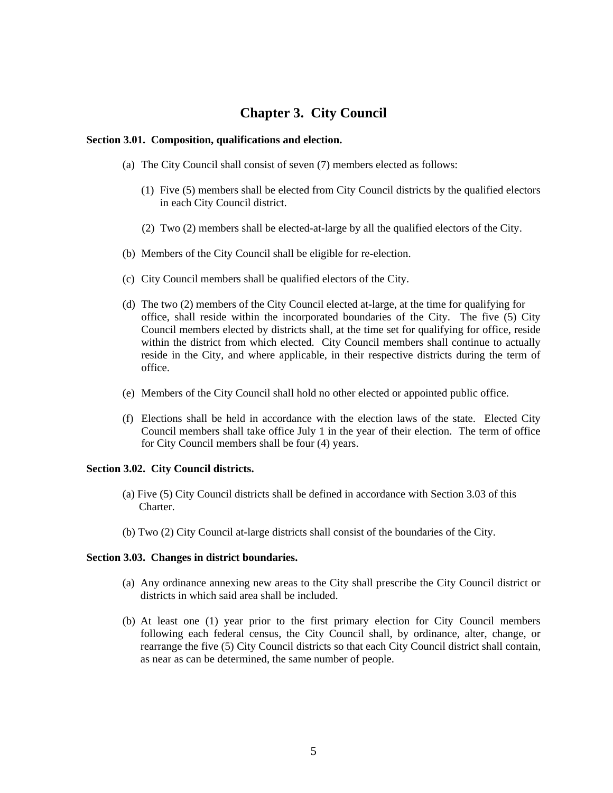# **Chapter 3. City Council**

#### **Section 3.01. Composition, qualifications and election.**

- (a) The City Council shall consist of seven (7) members elected as follows:
	- (1) Five (5) members shall be elected from City Council districts by the qualified electors in each City Council district.
	- (2) Two (2) members shall be elected-at-large by all the qualified electors of the City.
- (b) Members of the City Council shall be eligible for re-election.
- (c) City Council members shall be qualified electors of the City.
- (d) The two (2) members of the City Council elected at-large, at the time for qualifying for office, shall reside within the incorporated boundaries of the City. The five (5) City Council members elected by districts shall, at the time set for qualifying for office, reside within the district from which elected. City Council members shall continue to actually reside in the City, and where applicable, in their respective districts during the term of office.
- (e) Members of the City Council shall hold no other elected or appointed public office.
- (f) Elections shall be held in accordance with the election laws of the state. Elected City Council members shall take office July 1 in the year of their election. The term of office for City Council members shall be four (4) years.

#### **Section 3.02. City Council districts.**

- (a) Five (5) City Council districts shall be defined in accordance with Section 3.03 of this Charter.
- (b) Two (2) City Council at-large districts shall consist of the boundaries of the City.

#### **Section 3.03. Changes in district boundaries.**

- (a) Any ordinance annexing new areas to the City shall prescribe the City Council district or districts in which said area shall be included.
- (b) At least one (1) year prior to the first primary election for City Council members following each federal census, the City Council shall, by ordinance, alter, change, or rearrange the five (5) City Council districts so that each City Council district shall contain, as near as can be determined, the same number of people.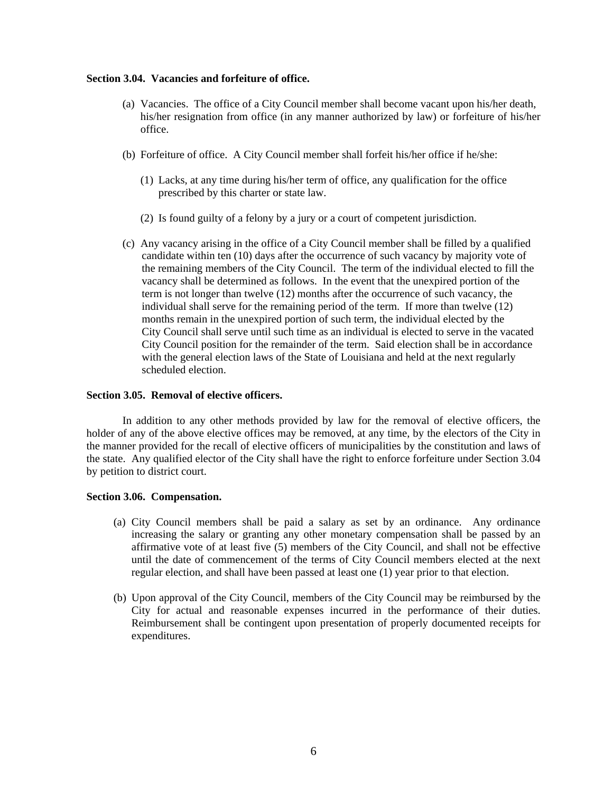#### **Section 3.04. Vacancies and forfeiture of office.**

- (a) Vacancies. The office of a City Council member shall become vacant upon his/her death, his/her resignation from office (in any manner authorized by law) or forfeiture of his/her office.
- (b) Forfeiture of office. A City Council member shall forfeit his/her office if he/she:
	- (1) Lacks, at any time during his/her term of office, any qualification for the office prescribed by this charter or state law.
	- (2) Is found guilty of a felony by a jury or a court of competent jurisdiction.
- (c) Any vacancy arising in the office of a City Council member shall be filled by a qualified candidate within ten (10) days after the occurrence of such vacancy by majority vote of the remaining members of the City Council. The term of the individual elected to fill the vacancy shall be determined as follows. In the event that the unexpired portion of the term is not longer than twelve (12) months after the occurrence of such vacancy, the individual shall serve for the remaining period of the term. If more than twelve (12) months remain in the unexpired portion of such term, the individual elected by the City Council shall serve until such time as an individual is elected to serve in the vacated City Council position for the remainder of the term. Said election shall be in accordance with the general election laws of the State of Louisiana and held at the next regularly scheduled election.

#### **Section 3.05. Removal of elective officers.**

In addition to any other methods provided by law for the removal of elective officers, the holder of any of the above elective offices may be removed, at any time, by the electors of the City in the manner provided for the recall of elective officers of municipalities by the constitution and laws of the state. Any qualified elector of the City shall have the right to enforce forfeiture under Section 3.04 by petition to district court.

#### **Section 3.06. Compensation.**

- (a) City Council members shall be paid a salary as set by an ordinance. Any ordinance increasing the salary or granting any other monetary compensation shall be passed by an affirmative vote of at least five (5) members of the City Council, and shall not be effective until the date of commencement of the terms of City Council members elected at the next regular election, and shall have been passed at least one (1) year prior to that election.
- (b) Upon approval of the City Council, members of the City Council may be reimbursed by the City for actual and reasonable expenses incurred in the performance of their duties. Reimbursement shall be contingent upon presentation of properly documented receipts for expenditures.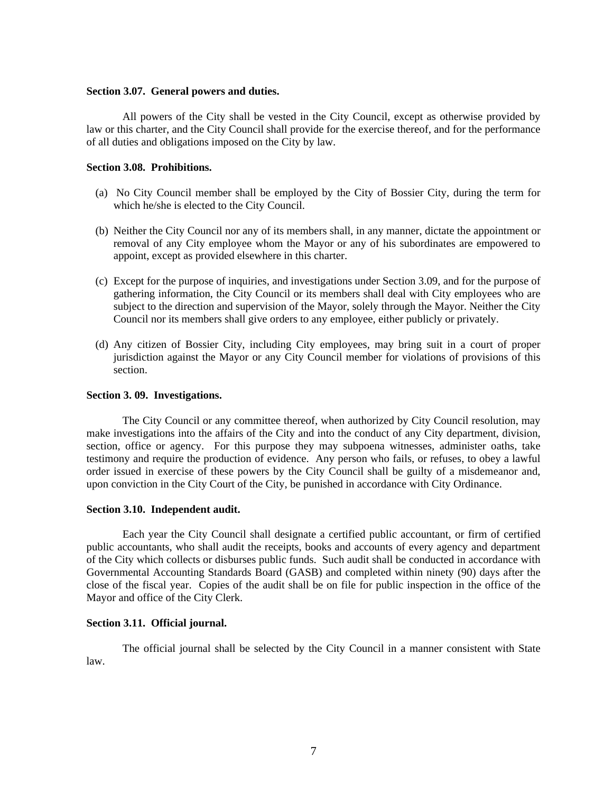#### **Section 3.07. General powers and duties.**

All powers of the City shall be vested in the City Council, except as otherwise provided by law or this charter, and the City Council shall provide for the exercise thereof, and for the performance of all duties and obligations imposed on the City by law.

#### **Section 3.08. Prohibitions.**

- (a) No City Council member shall be employed by the City of Bossier City, during the term for which he/she is elected to the City Council.
- (b) Neither the City Council nor any of its members shall, in any manner, dictate the appointment or removal of any City employee whom the Mayor or any of his subordinates are empowered to appoint, except as provided elsewhere in this charter.
- (c) Except for the purpose of inquiries, and investigations under Section 3.09, and for the purpose of gathering information, the City Council or its members shall deal with City employees who are subject to the direction and supervision of the Mayor, solely through the Mayor. Neither the City Council nor its members shall give orders to any employee, either publicly or privately.
- (d) Any citizen of Bossier City, including City employees, may bring suit in a court of proper jurisdiction against the Mayor or any City Council member for violations of provisions of this section.

#### **Section 3. 09. Investigations.**

 The City Council or any committee thereof, when authorized by City Council resolution, may make investigations into the affairs of the City and into the conduct of any City department, division, section, office or agency. For this purpose they may subpoena witnesses, administer oaths, take testimony and require the production of evidence. Any person who fails, or refuses, to obey a lawful order issued in exercise of these powers by the City Council shall be guilty of a misdemeanor and, upon conviction in the City Court of the City, be punished in accordance with City Ordinance.

#### **Section 3.10. Independent audit.**

Each year the City Council shall designate a certified public accountant, or firm of certified public accountants, who shall audit the receipts, books and accounts of every agency and department of the City which collects or disburses public funds. Such audit shall be conducted in accordance with Governmental Accounting Standards Board (GASB) and completed within ninety (90) days after the close of the fiscal year. Copies of the audit shall be on file for public inspection in the office of the Mayor and office of the City Clerk.

#### **Section 3.11. Official journal.**

The official journal shall be selected by the City Council in a manner consistent with State law.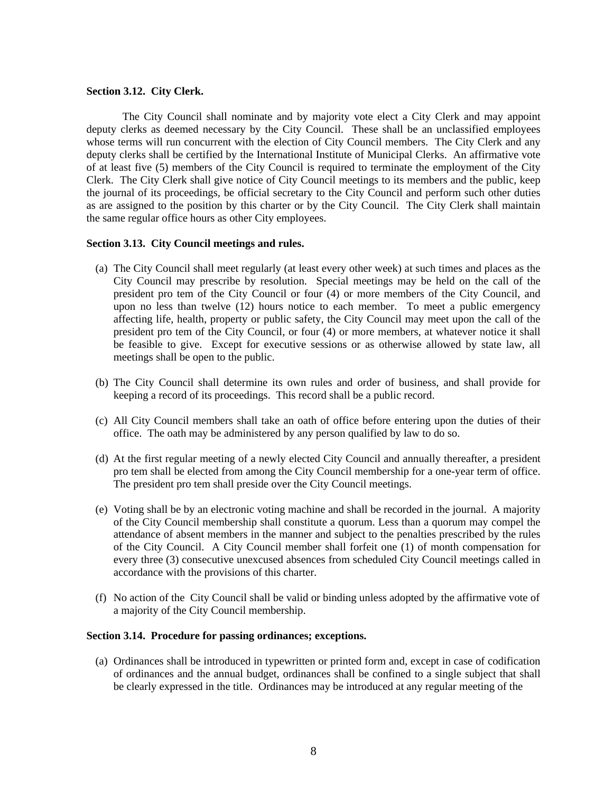#### **Section 3.12. City Clerk.**

The City Council shall nominate and by majority vote elect a City Clerk and may appoint deputy clerks as deemed necessary by the City Council. These shall be an unclassified employees whose terms will run concurrent with the election of City Council members. The City Clerk and any deputy clerks shall be certified by the International Institute of Municipal Clerks. An affirmative vote of at least five (5) members of the City Council is required to terminate the employment of the City Clerk. The City Clerk shall give notice of City Council meetings to its members and the public, keep the journal of its proceedings, be official secretary to the City Council and perform such other duties as are assigned to the position by this charter or by the City Council. The City Clerk shall maintain the same regular office hours as other City employees.

#### **Section 3.13. City Council meetings and rules.**

- (a) The City Council shall meet regularly (at least every other week) at such times and places as the City Council may prescribe by resolution. Special meetings may be held on the call of the president pro tem of the City Council or four (4) or more members of the City Council, and upon no less than twelve (12) hours notice to each member. To meet a public emergency affecting life, health, property or public safety, the City Council may meet upon the call of the president pro tem of the City Council, or four (4) or more members, at whatever notice it shall be feasible to give. Except for executive sessions or as otherwise allowed by state law, all meetings shall be open to the public.
- (b) The City Council shall determine its own rules and order of business, and shall provide for keeping a record of its proceedings. This record shall be a public record.
- (c) All City Council members shall take an oath of office before entering upon the duties of their office. The oath may be administered by any person qualified by law to do so.
- (d) At the first regular meeting of a newly elected City Council and annually thereafter, a president pro tem shall be elected from among the City Council membership for a one-year term of office. The president pro tem shall preside over the City Council meetings.
- (e) Voting shall be by an electronic voting machine and shall be recorded in the journal. A majority of the City Council membership shall constitute a quorum. Less than a quorum may compel the attendance of absent members in the manner and subject to the penalties prescribed by the rules of the City Council. A City Council member shall forfeit one (1) of month compensation for every three (3) consecutive unexcused absences from scheduled City Council meetings called in accordance with the provisions of this charter.
- (f) No action of the City Council shall be valid or binding unless adopted by the affirmative vote of a majority of the City Council membership.

#### **Section 3.14. Procedure for passing ordinances; exceptions.**

(a) Ordinances shall be introduced in typewritten or printed form and, except in case of codification of ordinances and the annual budget, ordinances shall be confined to a single subject that shall be clearly expressed in the title. Ordinances may be introduced at any regular meeting of the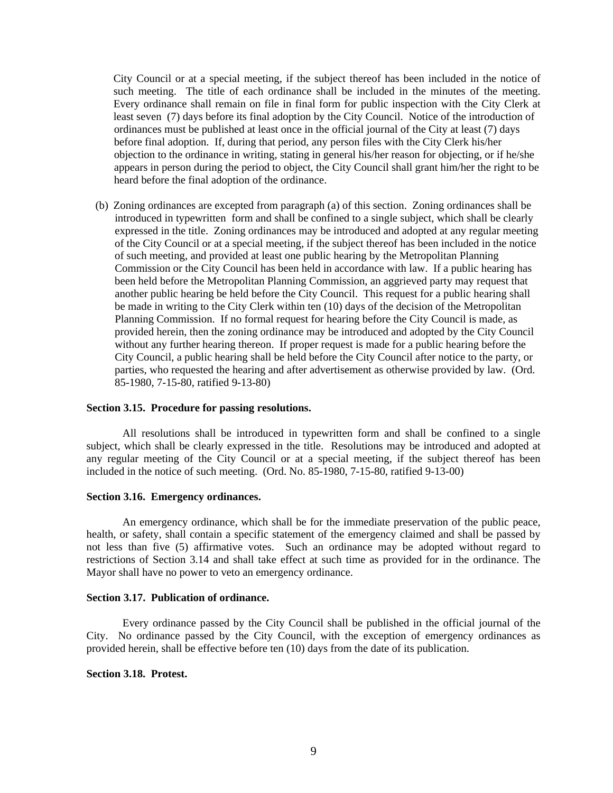City Council or at a special meeting, if the subject thereof has been included in the notice of such meeting. The title of each ordinance shall be included in the minutes of the meeting. Every ordinance shall remain on file in final form for public inspection with the City Clerk at least seven (7) days before its final adoption by the City Council. Notice of the introduction of ordinances must be published at least once in the official journal of the City at least (7) days before final adoption. If, during that period, any person files with the City Clerk his/her objection to the ordinance in writing, stating in general his/her reason for objecting, or if he/she appears in person during the period to object, the City Council shall grant him/her the right to be heard before the final adoption of the ordinance.

(b) Zoning ordinances are excepted from paragraph (a) of this section. Zoning ordinances shall be introduced in typewritten form and shall be confined to a single subject, which shall be clearly expressed in the title. Zoning ordinances may be introduced and adopted at any regular meeting of the City Council or at a special meeting, if the subject thereof has been included in the notice of such meeting, and provided at least one public hearing by the Metropolitan Planning Commission or the City Council has been held in accordance with law. If a public hearing has been held before the Metropolitan Planning Commission, an aggrieved party may request that another public hearing be held before the City Council. This request for a public hearing shall be made in writing to the City Clerk within ten (10) days of the decision of the Metropolitan Planning Commission. If no formal request for hearing before the City Council is made, as provided herein, then the zoning ordinance may be introduced and adopted by the City Council without any further hearing thereon. If proper request is made for a public hearing before the City Council, a public hearing shall be held before the City Council after notice to the party, or parties, who requested the hearing and after advertisement as otherwise provided by law. (Ord. 85-1980, 7-15-80, ratified 9-13-80)

#### **Section 3.15. Procedure for passing resolutions.**

All resolutions shall be introduced in typewritten form and shall be confined to a single subject, which shall be clearly expressed in the title. Resolutions may be introduced and adopted at any regular meeting of the City Council or at a special meeting, if the subject thereof has been included in the notice of such meeting. (Ord. No. 85-1980, 7-15-80, ratified 9-13-00)

#### **Section 3.16. Emergency ordinances.**

An emergency ordinance, which shall be for the immediate preservation of the public peace, health, or safety, shall contain a specific statement of the emergency claimed and shall be passed by not less than five (5) affirmative votes. Such an ordinance may be adopted without regard to restrictions of Section 3.14 and shall take effect at such time as provided for in the ordinance. The Mayor shall have no power to veto an emergency ordinance.

#### **Section 3.17. Publication of ordinance.**

Every ordinance passed by the City Council shall be published in the official journal of the City. No ordinance passed by the City Council, with the exception of emergency ordinances as provided herein, shall be effective before ten (10) days from the date of its publication.

#### **Section 3.18. Protest.**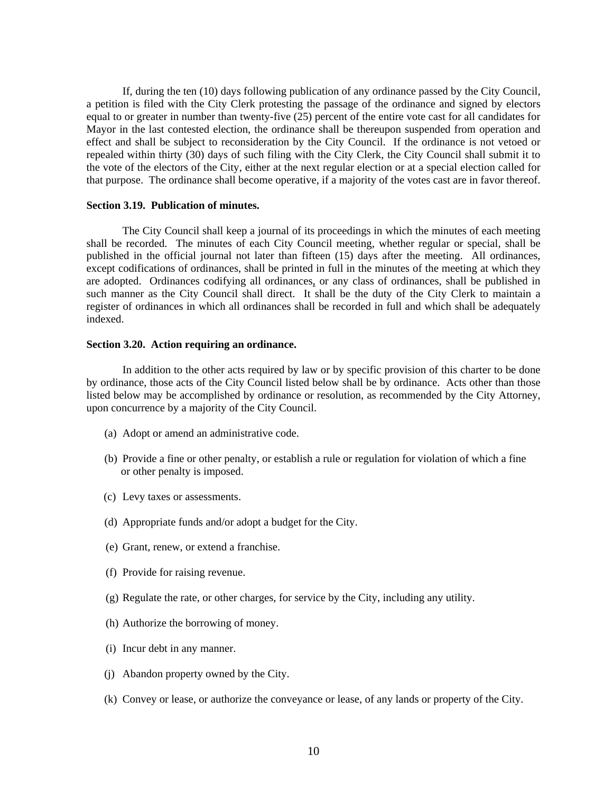If, during the ten (10) days following publication of any ordinance passed by the City Council, a petition is filed with the City Clerk protesting the passage of the ordinance and signed by electors equal to or greater in number than twenty-five (25) percent of the entire vote cast for all candidates for Mayor in the last contested election, the ordinance shall be thereupon suspended from operation and effect and shall be subject to reconsideration by the City Council. If the ordinance is not vetoed or repealed within thirty (30) days of such filing with the City Clerk, the City Council shall submit it to the vote of the electors of the City, either at the next regular election or at a special election called for that purpose. The ordinance shall become operative, if a majority of the votes cast are in favor thereof.

#### **Section 3.19. Publication of minutes.**

The City Council shall keep a journal of its proceedings in which the minutes of each meeting shall be recorded. The minutes of each City Council meeting, whether regular or special, shall be published in the official journal not later than fifteen (15) days after the meeting. All ordinances, except codifications of ordinances, shall be printed in full in the minutes of the meeting at which they are adopted. Ordinances codifying all ordinances, or any class of ordinances, shall be published in such manner as the City Council shall direct. It shall be the duty of the City Clerk to maintain a register of ordinances in which all ordinances shall be recorded in full and which shall be adequately indexed.

#### **Section 3.20. Action requiring an ordinance.**

In addition to the other acts required by law or by specific provision of this charter to be done by ordinance, those acts of the City Council listed below shall be by ordinance. Acts other than those listed below may be accomplished by ordinance or resolution, as recommended by the City Attorney, upon concurrence by a majority of the City Council.

- (a) Adopt or amend an administrative code.
- (b) Provide a fine or other penalty, or establish a rule or regulation for violation of which a fine or other penalty is imposed.
- (c) Levy taxes or assessments.
- (d) Appropriate funds and/or adopt a budget for the City.
- (e) Grant, renew, or extend a franchise.
- (f) Provide for raising revenue.
- (g) Regulate the rate, or other charges, for service by the City, including any utility.
- (h) Authorize the borrowing of money.
- (i) Incur debt in any manner.
- (j) Abandon property owned by the City.
- (k) Convey or lease, or authorize the conveyance or lease, of any lands or property of the City.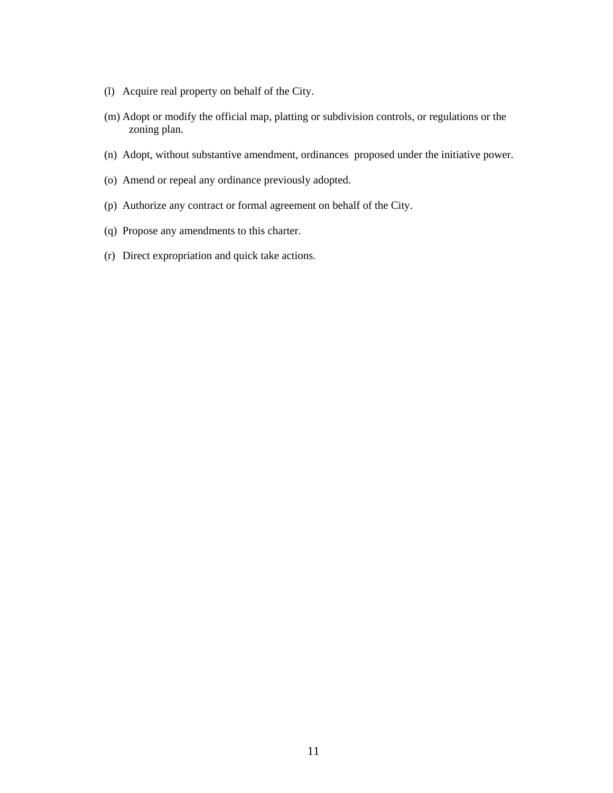- (l) Acquire real property on behalf of the City.
- (m) Adopt or modify the official map, platting or subdivision controls, or regulations or the zoning plan.
- (n) Adopt, without substantive amendment, ordinances proposed under the initiative power.
- (o) Amend or repeal any ordinance previously adopted.
- (p) Authorize any contract or formal agreement on behalf of the City.
- (q) Propose any amendments to this charter.
- (r) Direct expropriation and quick take actions.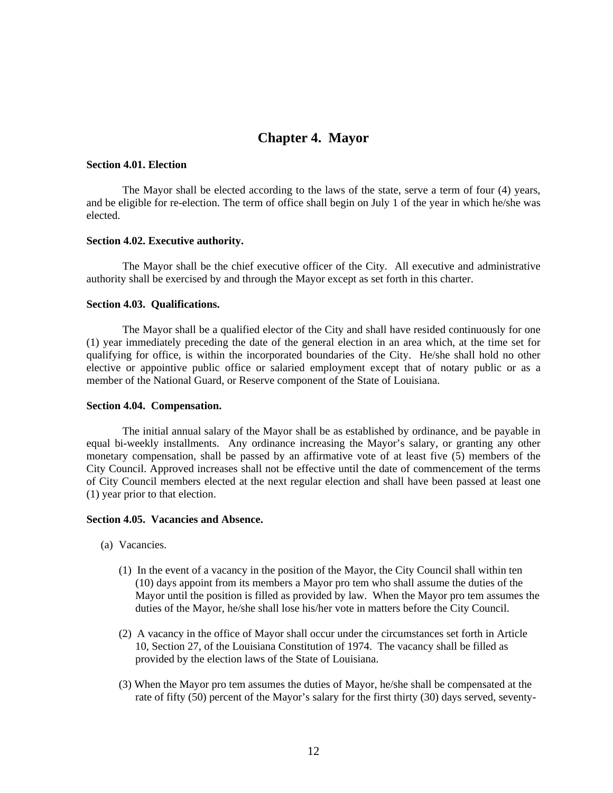# **Chapter 4. Mayor**

#### **Section 4.01. Election**

The Mayor shall be elected according to the laws of the state, serve a term of four (4) years, and be eligible for re-election. The term of office shall begin on July 1 of the year in which he/she was elected.

#### **Section 4.02. Executive authority.**

The Mayor shall be the chief executive officer of the City. All executive and administrative authority shall be exercised by and through the Mayor except as set forth in this charter.

#### **Section 4.03. Qualifications.**

The Mayor shall be a qualified elector of the City and shall have resided continuously for one (1) year immediately preceding the date of the general election in an area which, at the time set for qualifying for office, is within the incorporated boundaries of the City. He/she shall hold no other elective or appointive public office or salaried employment except that of notary public or as a member of the National Guard, or Reserve component of the State of Louisiana.

#### **Section 4.04. Compensation.**

The initial annual salary of the Mayor shall be as established by ordinance, and be payable in equal bi-weekly installments. Any ordinance increasing the Mayor's salary, or granting any other monetary compensation, shall be passed by an affirmative vote of at least five (5) members of the City Council. Approved increases shall not be effective until the date of commencement of the terms of City Council members elected at the next regular election and shall have been passed at least one (1) year prior to that election.

#### **Section 4.05. Vacancies and Absence.**

- (a) Vacancies.
	- (1) In the event of a vacancy in the position of the Mayor, the City Council shall within ten (10) days appoint from its members a Mayor pro tem who shall assume the duties of the Mayor until the position is filled as provided by law. When the Mayor pro tem assumes the duties of the Mayor, he/she shall lose his/her vote in matters before the City Council.
	- (2) A vacancy in the office of Mayor shall occur under the circumstances set forth in Article 10, Section 27, of the Louisiana Constitution of 1974. The vacancy shall be filled as provided by the election laws of the State of Louisiana.
	- (3) When the Mayor pro tem assumes the duties of Mayor, he/she shall be compensated at the rate of fifty (50) percent of the Mayor's salary for the first thirty (30) days served, seventy-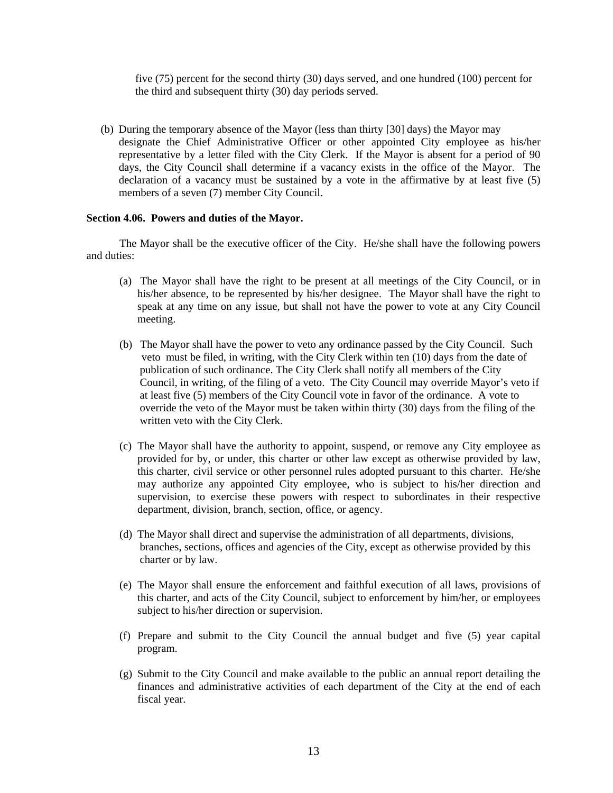five (75) percent for the second thirty (30) days served, and one hundred (100) percent for the third and subsequent thirty (30) day periods served.

(b) During the temporary absence of the Mayor (less than thirty [30] days) the Mayor may designate the Chief Administrative Officer or other appointed City employee as his/her representative by a letter filed with the City Clerk. If the Mayor is absent for a period of 90 days, the City Council shall determine if a vacancy exists in the office of the Mayor. The declaration of a vacancy must be sustained by a vote in the affirmative by at least five (5) members of a seven (7) member City Council.

#### **Section 4.06. Powers and duties of the Mayor.**

The Mayor shall be the executive officer of the City. He/she shall have the following powers and duties:

- (a) The Mayor shall have the right to be present at all meetings of the City Council, or in his/her absence, to be represented by his/her designee. The Mayor shall have the right to speak at any time on any issue, but shall not have the power to vote at any City Council meeting.
- (b) The Mayor shall have the power to veto any ordinance passed by the City Council. Such veto must be filed, in writing, with the City Clerk within ten (10) days from the date of publication of such ordinance. The City Clerk shall notify all members of the City Council, in writing, of the filing of a veto. The City Council may override Mayor's veto if at least five (5) members of the City Council vote in favor of the ordinance. A vote to override the veto of the Mayor must be taken within thirty (30) days from the filing of the written veto with the City Clerk.
- (c) The Mayor shall have the authority to appoint, suspend, or remove any City employee as provided for by, or under, this charter or other law except as otherwise provided by law, this charter, civil service or other personnel rules adopted pursuant to this charter. He/she may authorize any appointed City employee, who is subject to his/her direction and supervision, to exercise these powers with respect to subordinates in their respective department, division, branch, section, office, or agency.
- (d) The Mayor shall direct and supervise the administration of all departments, divisions, branches, sections, offices and agencies of the City, except as otherwise provided by this charter or by law.
- (e) The Mayor shall ensure the enforcement and faithful execution of all laws, provisions of this charter, and acts of the City Council, subject to enforcement by him/her, or employees subject to his/her direction or supervision.
- (f) Prepare and submit to the City Council the annual budget and five (5) year capital program.
- (g) Submit to the City Council and make available to the public an annual report detailing the finances and administrative activities of each department of the City at the end of each fiscal year.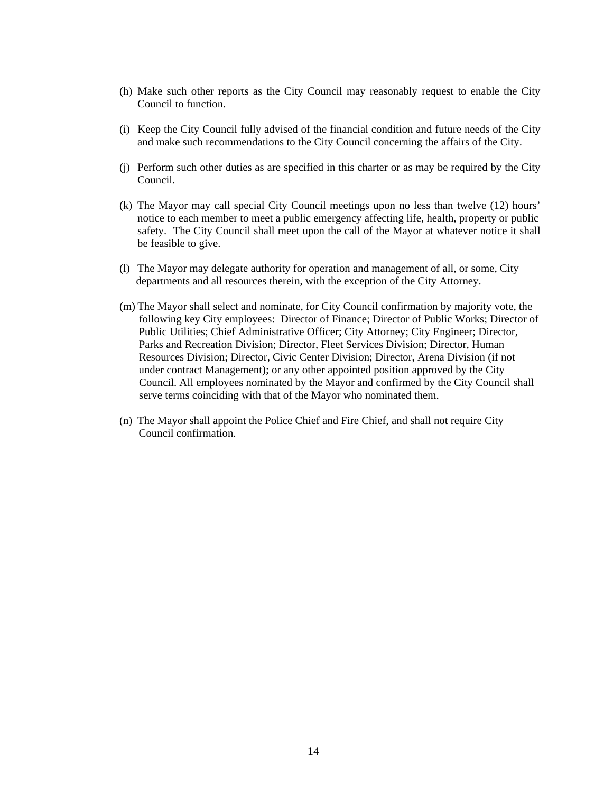- (h) Make such other reports as the City Council may reasonably request to enable the City Council to function.
- (i) Keep the City Council fully advised of the financial condition and future needs of the City and make such recommendations to the City Council concerning the affairs of the City.
- (j) Perform such other duties as are specified in this charter or as may be required by the City Council.
- (k) The Mayor may call special City Council meetings upon no less than twelve (12) hours' notice to each member to meet a public emergency affecting life, health, property or public safety. The City Council shall meet upon the call of the Mayor at whatever notice it shall be feasible to give.
- (l) The Mayor may delegate authority for operation and management of all, or some, City departments and all resources therein, with the exception of the City Attorney.
- (m) The Mayor shall select and nominate, for City Council confirmation by majority vote, the following key City employees: Director of Finance; Director of Public Works; Director of Public Utilities; Chief Administrative Officer; City Attorney; City Engineer; Director, Parks and Recreation Division; Director, Fleet Services Division; Director, Human Resources Division; Director, Civic Center Division; Director, Arena Division (if not under contract Management); or any other appointed position approved by the City Council. All employees nominated by the Mayor and confirmed by the City Council shall serve terms coinciding with that of the Mayor who nominated them.
- (n) The Mayor shall appoint the Police Chief and Fire Chief, and shall not require City Council confirmation.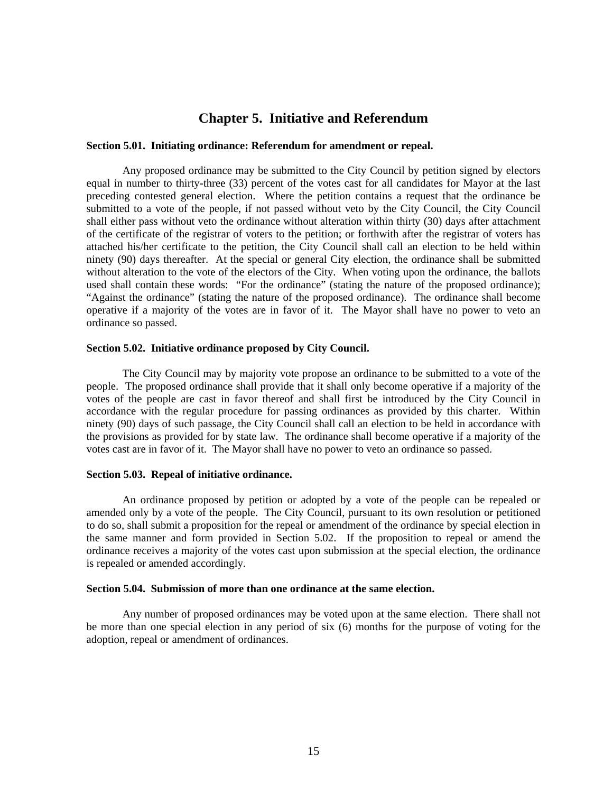## **Chapter 5. Initiative and Referendum**

#### **Section 5.01. Initiating ordinance: Referendum for amendment or repeal.**

Any proposed ordinance may be submitted to the City Council by petition signed by electors equal in number to thirty-three (33) percent of the votes cast for all candidates for Mayor at the last preceding contested general election. Where the petition contains a request that the ordinance be submitted to a vote of the people, if not passed without veto by the City Council, the City Council shall either pass without veto the ordinance without alteration within thirty (30) days after attachment of the certificate of the registrar of voters to the petition; or forthwith after the registrar of voters has attached his/her certificate to the petition, the City Council shall call an election to be held within ninety (90) days thereafter. At the special or general City election, the ordinance shall be submitted without alteration to the vote of the electors of the City. When voting upon the ordinance, the ballots used shall contain these words: "For the ordinance" (stating the nature of the proposed ordinance); "Against the ordinance" (stating the nature of the proposed ordinance). The ordinance shall become operative if a majority of the votes are in favor of it. The Mayor shall have no power to veto an ordinance so passed.

#### **Section 5.02. Initiative ordinance proposed by City Council.**

The City Council may by majority vote propose an ordinance to be submitted to a vote of the people. The proposed ordinance shall provide that it shall only become operative if a majority of the votes of the people are cast in favor thereof and shall first be introduced by the City Council in accordance with the regular procedure for passing ordinances as provided by this charter. Within ninety (90) days of such passage, the City Council shall call an election to be held in accordance with the provisions as provided for by state law. The ordinance shall become operative if a majority of the votes cast are in favor of it. The Mayor shall have no power to veto an ordinance so passed.

#### **Section 5.03. Repeal of initiative ordinance.**

An ordinance proposed by petition or adopted by a vote of the people can be repealed or amended only by a vote of the people. The City Council, pursuant to its own resolution or petitioned to do so, shall submit a proposition for the repeal or amendment of the ordinance by special election in the same manner and form provided in Section 5.02. If the proposition to repeal or amend the ordinance receives a majority of the votes cast upon submission at the special election, the ordinance is repealed or amended accordingly.

#### **Section 5.04. Submission of more than one ordinance at the same election.**

Any number of proposed ordinances may be voted upon at the same election. There shall not be more than one special election in any period of six (6) months for the purpose of voting for the adoption, repeal or amendment of ordinances.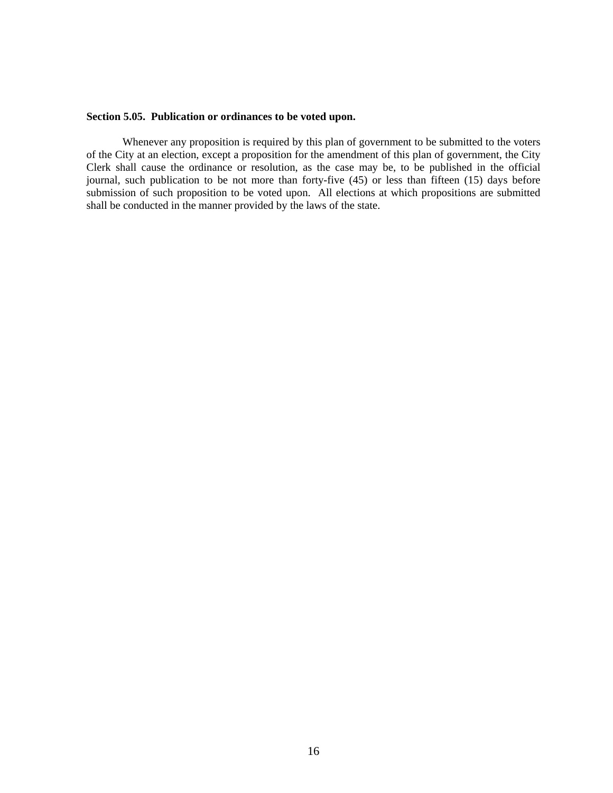#### **Section 5.05. Publication or ordinances to be voted upon.**

Whenever any proposition is required by this plan of government to be submitted to the voters of the City at an election, except a proposition for the amendment of this plan of government, the City Clerk shall cause the ordinance or resolution, as the case may be, to be published in the official journal, such publication to be not more than forty-five (45) or less than fifteen (15) days before submission of such proposition to be voted upon. All elections at which propositions are submitted shall be conducted in the manner provided by the laws of the state.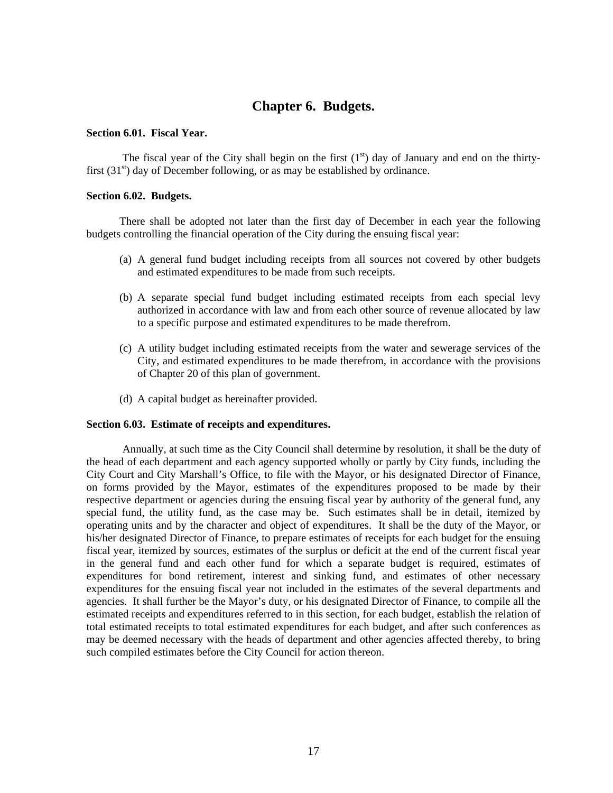# **Chapter 6. Budgets.**

#### **Section 6.01. Fiscal Year.**

The fiscal year of the City shall begin on the first  $(1<sup>st</sup>)$  day of January and end on the thirtyfirst  $(31<sup>st</sup>)$  day of December following, or as may be established by ordinance.

#### **Section 6.02. Budgets.**

There shall be adopted not later than the first day of December in each year the following budgets controlling the financial operation of the City during the ensuing fiscal year:

- (a) A general fund budget including receipts from all sources not covered by other budgets and estimated expenditures to be made from such receipts.
- (b) A separate special fund budget including estimated receipts from each special levy authorized in accordance with law and from each other source of revenue allocated by law to a specific purpose and estimated expenditures to be made therefrom.
- (c) A utility budget including estimated receipts from the water and sewerage services of the City, and estimated expenditures to be made therefrom, in accordance with the provisions of Chapter 20 of this plan of government.
- (d) A capital budget as hereinafter provided.

#### **Section 6.03. Estimate of receipts and expenditures.**

Annually, at such time as the City Council shall determine by resolution, it shall be the duty of the head of each department and each agency supported wholly or partly by City funds, including the City Court and City Marshall's Office, to file with the Mayor, or his designated Director of Finance, on forms provided by the Mayor, estimates of the expenditures proposed to be made by their respective department or agencies during the ensuing fiscal year by authority of the general fund, any special fund, the utility fund, as the case may be. Such estimates shall be in detail, itemized by operating units and by the character and object of expenditures. It shall be the duty of the Mayor, or his/her designated Director of Finance, to prepare estimates of receipts for each budget for the ensuing fiscal year, itemized by sources, estimates of the surplus or deficit at the end of the current fiscal year in the general fund and each other fund for which a separate budget is required, estimates of expenditures for bond retirement, interest and sinking fund, and estimates of other necessary expenditures for the ensuing fiscal year not included in the estimates of the several departments and agencies. It shall further be the Mayor's duty, or his designated Director of Finance, to compile all the estimated receipts and expenditures referred to in this section, for each budget, establish the relation of total estimated receipts to total estimated expenditures for each budget, and after such conferences as may be deemed necessary with the heads of department and other agencies affected thereby, to bring such compiled estimates before the City Council for action thereon.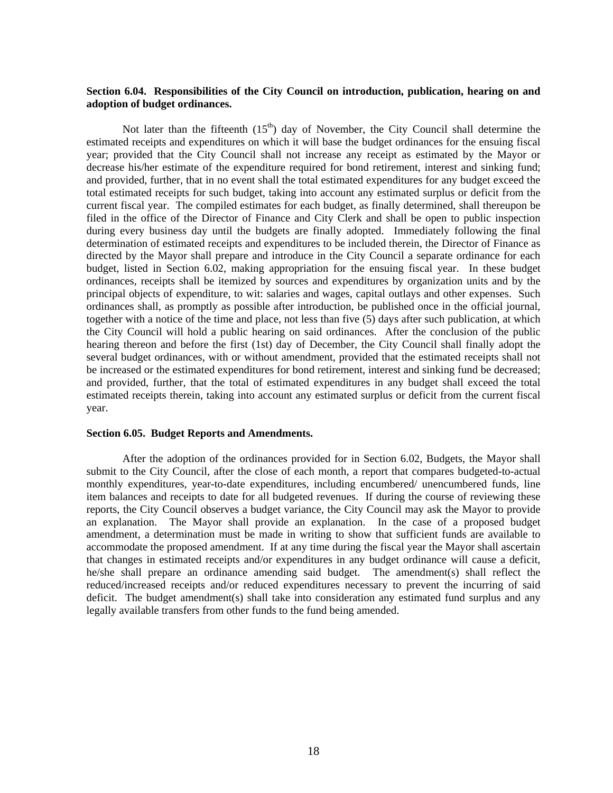#### **Section 6.04. Responsibilities of the City Council on introduction, publication, hearing on and adoption of budget ordinances.**

Not later than the fifteenth  $(15<sup>th</sup>)$  day of November, the City Council shall determine the estimated receipts and expenditures on which it will base the budget ordinances for the ensuing fiscal year; provided that the City Council shall not increase any receipt as estimated by the Mayor or decrease his/her estimate of the expenditure required for bond retirement, interest and sinking fund; and provided, further, that in no event shall the total estimated expenditures for any budget exceed the total estimated receipts for such budget, taking into account any estimated surplus or deficit from the current fiscal year. The compiled estimates for each budget, as finally determined, shall thereupon be filed in the office of the Director of Finance and City Clerk and shall be open to public inspection during every business day until the budgets are finally adopted. Immediately following the final determination of estimated receipts and expenditures to be included therein, the Director of Finance as directed by the Mayor shall prepare and introduce in the City Council a separate ordinance for each budget, listed in Section 6.02, making appropriation for the ensuing fiscal year. In these budget ordinances, receipts shall be itemized by sources and expenditures by organization units and by the principal objects of expenditure, to wit: salaries and wages, capital outlays and other expenses. Such ordinances shall, as promptly as possible after introduction, be published once in the official journal, together with a notice of the time and place, not less than five (5) days after such publication, at which the City Council will hold a public hearing on said ordinances. After the conclusion of the public hearing thereon and before the first (1st) day of December, the City Council shall finally adopt the several budget ordinances, with or without amendment, provided that the estimated receipts shall not be increased or the estimated expenditures for bond retirement, interest and sinking fund be decreased; and provided, further, that the total of estimated expenditures in any budget shall exceed the total estimated receipts therein, taking into account any estimated surplus or deficit from the current fiscal year.

#### **Section 6.05. Budget Reports and Amendments.**

After the adoption of the ordinances provided for in Section 6.02, Budgets, the Mayor shall submit to the City Council, after the close of each month, a report that compares budgeted-to-actual monthly expenditures, year-to-date expenditures, including encumbered/ unencumbered funds, line item balances and receipts to date for all budgeted revenues. If during the course of reviewing these reports, the City Council observes a budget variance, the City Council may ask the Mayor to provide an explanation. The Mayor shall provide an explanation. In the case of a proposed budget amendment, a determination must be made in writing to show that sufficient funds are available to accommodate the proposed amendment. If at any time during the fiscal year the Mayor shall ascertain that changes in estimated receipts and/or expenditures in any budget ordinance will cause a deficit, he/she shall prepare an ordinance amending said budget. The amendment(s) shall reflect the reduced/increased receipts and/or reduced expenditures necessary to prevent the incurring of said deficit. The budget amendment(s) shall take into consideration any estimated fund surplus and any legally available transfers from other funds to the fund being amended.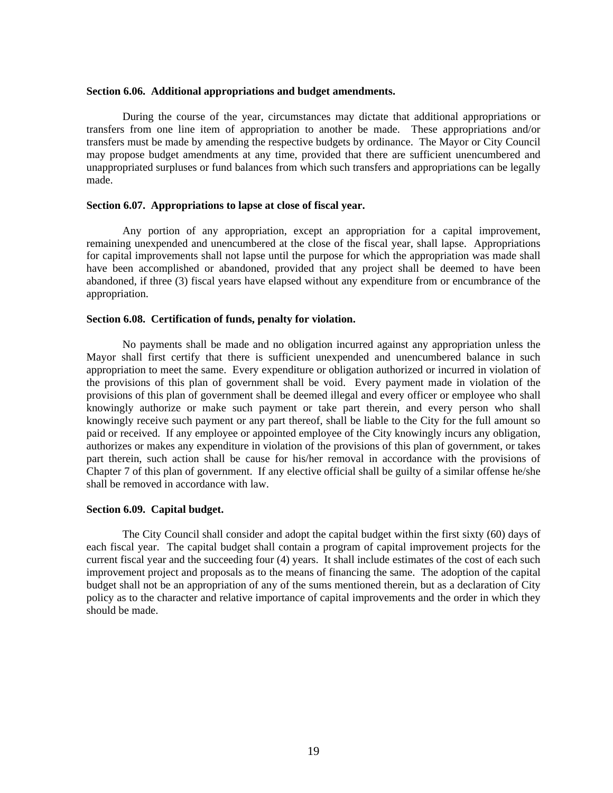#### **Section 6.06. Additional appropriations and budget amendments.**

During the course of the year, circumstances may dictate that additional appropriations or transfers from one line item of appropriation to another be made. These appropriations and/or transfers must be made by amending the respective budgets by ordinance. The Mayor or City Council may propose budget amendments at any time, provided that there are sufficient unencumbered and unappropriated surpluses or fund balances from which such transfers and appropriations can be legally made.

#### **Section 6.07. Appropriations to lapse at close of fiscal year.**

Any portion of any appropriation, except an appropriation for a capital improvement, remaining unexpended and unencumbered at the close of the fiscal year, shall lapse. Appropriations for capital improvements shall not lapse until the purpose for which the appropriation was made shall have been accomplished or abandoned, provided that any project shall be deemed to have been abandoned, if three (3) fiscal years have elapsed without any expenditure from or encumbrance of the appropriation.

#### **Section 6.08. Certification of funds, penalty for violation.**

No payments shall be made and no obligation incurred against any appropriation unless the Mayor shall first certify that there is sufficient unexpended and unencumbered balance in such appropriation to meet the same. Every expenditure or obligation authorized or incurred in violation of the provisions of this plan of government shall be void. Every payment made in violation of the provisions of this plan of government shall be deemed illegal and every officer or employee who shall knowingly authorize or make such payment or take part therein, and every person who shall knowingly receive such payment or any part thereof, shall be liable to the City for the full amount so paid or received. If any employee or appointed employee of the City knowingly incurs any obligation, authorizes or makes any expenditure in violation of the provisions of this plan of government, or takes part therein, such action shall be cause for his/her removal in accordance with the provisions of Chapter 7 of this plan of government. If any elective official shall be guilty of a similar offense he/she shall be removed in accordance with law.

#### **Section 6.09. Capital budget.**

The City Council shall consider and adopt the capital budget within the first sixty (60) days of each fiscal year. The capital budget shall contain a program of capital improvement projects for the current fiscal year and the succeeding four (4) years. It shall include estimates of the cost of each such improvement project and proposals as to the means of financing the same. The adoption of the capital budget shall not be an appropriation of any of the sums mentioned therein, but as a declaration of City policy as to the character and relative importance of capital improvements and the order in which they should be made.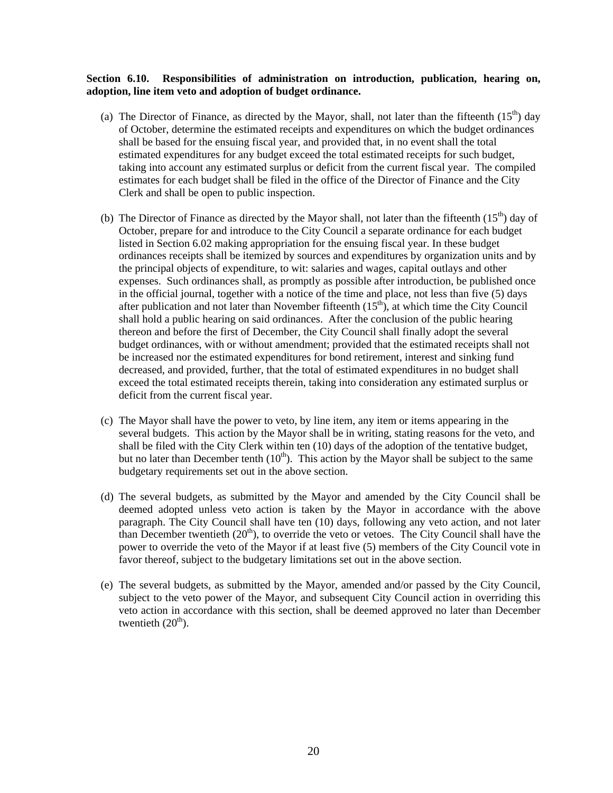#### **Section 6.10. Responsibilities of administration on introduction, publication, hearing on, adoption, line item veto and adoption of budget ordinance.**

- (a) The Director of Finance, as directed by the Mayor, shall, not later than the fifteenth  $(15<sup>th</sup>)$  day of October, determine the estimated receipts and expenditures on which the budget ordinances shall be based for the ensuing fiscal year, and provided that, in no event shall the total estimated expenditures for any budget exceed the total estimated receipts for such budget, taking into account any estimated surplus or deficit from the current fiscal year. The compiled estimates for each budget shall be filed in the office of the Director of Finance and the City Clerk and shall be open to public inspection.
- (b) The Director of Finance as directed by the Mayor shall, not later than the fifteenth  $(15<sup>th</sup>)$  day of October, prepare for and introduce to the City Council a separate ordinance for each budget listed in Section 6.02 making appropriation for the ensuing fiscal year. In these budget ordinances receipts shall be itemized by sources and expenditures by organization units and by the principal objects of expenditure, to wit: salaries and wages, capital outlays and other expenses. Such ordinances shall, as promptly as possible after introduction, be published once in the official journal, together with a notice of the time and place, not less than five (5) days after publication and not later than November fifteenth  $(15<sup>th</sup>)$ , at which time the City Council shall hold a public hearing on said ordinances. After the conclusion of the public hearing thereon and before the first of December, the City Council shall finally adopt the several budget ordinances, with or without amendment; provided that the estimated receipts shall not be increased nor the estimated expenditures for bond retirement, interest and sinking fund decreased, and provided, further, that the total of estimated expenditures in no budget shall exceed the total estimated receipts therein, taking into consideration any estimated surplus or deficit from the current fiscal year.
- (c) The Mayor shall have the power to veto, by line item, any item or items appearing in the several budgets. This action by the Mayor shall be in writing, stating reasons for the veto, and shall be filed with the City Clerk within ten (10) days of the adoption of the tentative budget, but no later than December tenth  $(10<sup>th</sup>)$ . This action by the Mayor shall be subject to the same budgetary requirements set out in the above section.
- (d) The several budgets, as submitted by the Mayor and amended by the City Council shall be deemed adopted unless veto action is taken by the Mayor in accordance with the above paragraph. The City Council shall have ten (10) days, following any veto action, and not later than December twentieth  $(20<sup>th</sup>)$ , to override the veto or vetoes. The City Council shall have the power to override the veto of the Mayor if at least five (5) members of the City Council vote in favor thereof, subject to the budgetary limitations set out in the above section.
- (e) The several budgets, as submitted by the Mayor, amended and/or passed by the City Council, subject to the veto power of the Mayor, and subsequent City Council action in overriding this veto action in accordance with this section, shall be deemed approved no later than December twentieth  $(20<sup>th</sup>)$ .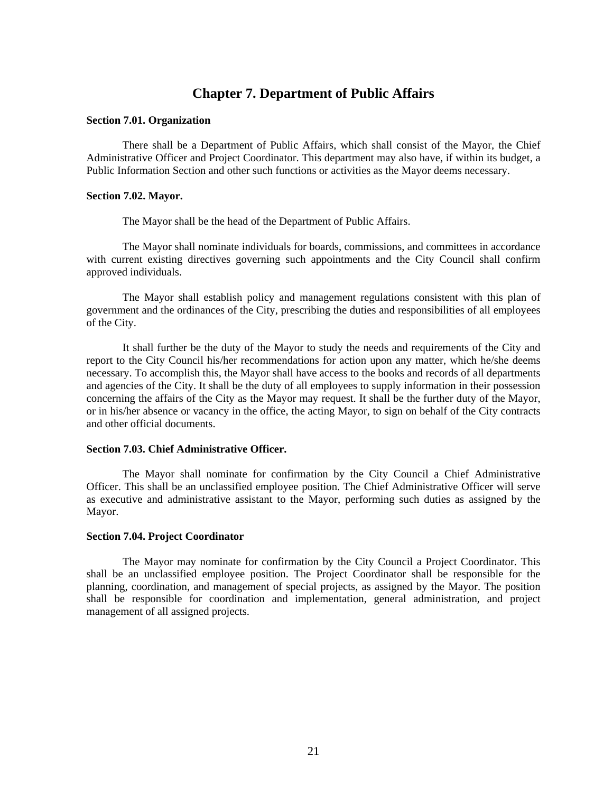# **Chapter 7. Department of Public Affairs**

#### **Section 7.01. Organization**

There shall be a Department of Public Affairs, which shall consist of the Mayor, the Chief Administrative Officer and Project Coordinator. This department may also have, if within its budget, a Public Information Section and other such functions or activities as the Mayor deems necessary.

#### **Section 7.02. Mayor.**

The Mayor shall be the head of the Department of Public Affairs.

The Mayor shall nominate individuals for boards, commissions, and committees in accordance with current existing directives governing such appointments and the City Council shall confirm approved individuals.

The Mayor shall establish policy and management regulations consistent with this plan of government and the ordinances of the City, prescribing the duties and responsibilities of all employees of the City.

It shall further be the duty of the Mayor to study the needs and requirements of the City and report to the City Council his/her recommendations for action upon any matter, which he/she deems necessary. To accomplish this, the Mayor shall have access to the books and records of all departments and agencies of the City. It shall be the duty of all employees to supply information in their possession concerning the affairs of the City as the Mayor may request. It shall be the further duty of the Mayor, or in his/her absence or vacancy in the office, the acting Mayor, to sign on behalf of the City contracts and other official documents.

#### **Section 7.03. Chief Administrative Officer.**

The Mayor shall nominate for confirmation by the City Council a Chief Administrative Officer. This shall be an unclassified employee position. The Chief Administrative Officer will serve as executive and administrative assistant to the Mayor, performing such duties as assigned by the Mayor.

#### **Section 7.04. Project Coordinator**

The Mayor may nominate for confirmation by the City Council a Project Coordinator. This shall be an unclassified employee position. The Project Coordinator shall be responsible for the planning, coordination, and management of special projects, as assigned by the Mayor. The position shall be responsible for coordination and implementation, general administration, and project management of all assigned projects.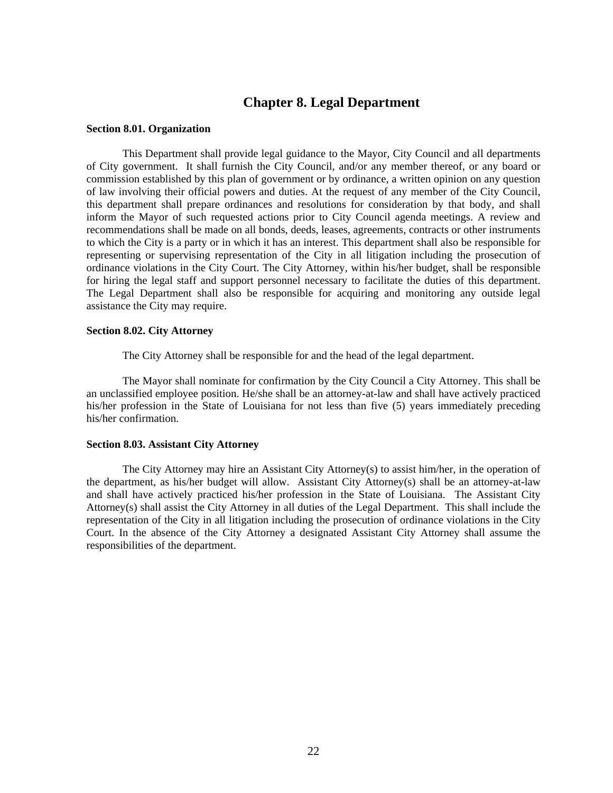## **Chapter 8. Legal Department**

#### **Section 8.01. Organization**

This Department shall provide legal guidance to the Mayor, City Council and all departments of City government. It shall furnish the City Council, and/or any member thereof, or any board or commission established by this plan of government or by ordinance, a written opinion on any question of law involving their official powers and duties. At the request of any member of the City Council, this department shall prepare ordinances and resolutions for consideration by that body, and shall inform the Mayor of such requested actions prior to City Council agenda meetings. A review and recommendations shall be made on all bonds, deeds, leases, agreements, contracts or other instruments to which the City is a party or in which it has an interest. This department shall also be responsible for representing or supervising representation of the City in all litigation including the prosecution of ordinance violations in the City Court. The City Attorney, within his/her budget, shall be responsible for hiring the legal staff and support personnel necessary to facilitate the duties of this department. The Legal Department shall also be responsible for acquiring and monitoring any outside legal assistance the City may require.

#### **Section 8.02. City Attorney**

The City Attorney shall be responsible for and the head of the legal department.

The Mayor shall nominate for confirmation by the City Council a City Attorney. This shall be an unclassified employee position. He/she shall be an attorney-at-law and shall have actively practiced his/her profession in the State of Louisiana for not less than five (5) years immediately preceding his/her confirmation.

#### **Section 8.03. Assistant City Attorney**

The City Attorney may hire an Assistant City Attorney(s) to assist him/her, in the operation of the department, as his/her budget will allow. Assistant City Attorney(s) shall be an attorney-at-law and shall have actively practiced his/her profession in the State of Louisiana. The Assistant City Attorney(s) shall assist the City Attorney in all duties of the Legal Department. This shall include the representation of the City in all litigation including the prosecution of ordinance violations in the City Court. In the absence of the City Attorney a designated Assistant City Attorney shall assume the responsibilities of the department.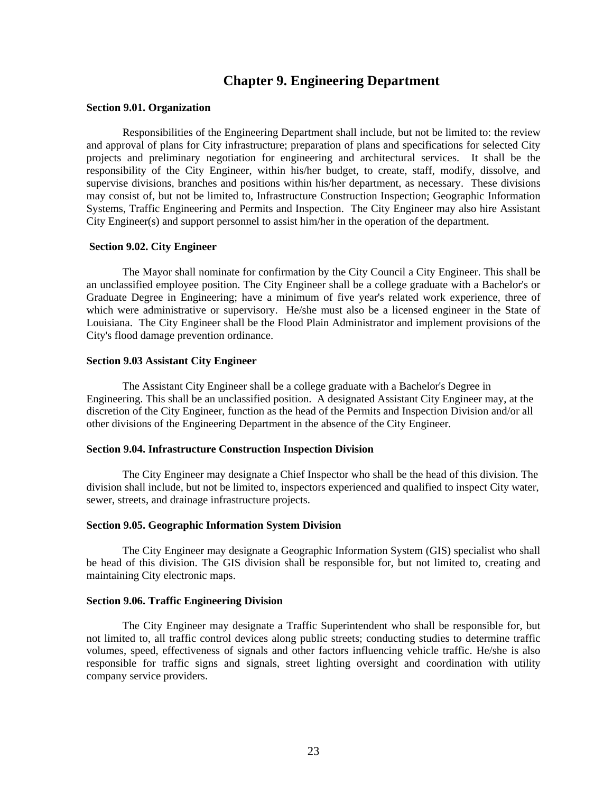### **Chapter 9. Engineering Department**

#### **Section 9.01. Organization**

Responsibilities of the Engineering Department shall include, but not be limited to: the review and approval of plans for City infrastructure; preparation of plans and specifications for selected City projects and preliminary negotiation for engineering and architectural services. It shall be the responsibility of the City Engineer, within his/her budget, to create, staff, modify, dissolve, and supervise divisions, branches and positions within his/her department, as necessary. These divisions may consist of, but not be limited to, Infrastructure Construction Inspection; Geographic Information Systems, Traffic Engineering and Permits and Inspection. The City Engineer may also hire Assistant City Engineer(s) and support personnel to assist him/her in the operation of the department.

#### **Section 9.02. City Engineer**

The Mayor shall nominate for confirmation by the City Council a City Engineer. This shall be an unclassified employee position. The City Engineer shall be a college graduate with a Bachelor's or Graduate Degree in Engineering; have a minimum of five year's related work experience, three of which were administrative or supervisory. He/she must also be a licensed engineer in the State of Louisiana. The City Engineer shall be the Flood Plain Administrator and implement provisions of the City's flood damage prevention ordinance.

#### **Section 9.03 Assistant City Engineer**

The Assistant City Engineer shall be a college graduate with a Bachelor's Degree in Engineering. This shall be an unclassified position. A designated Assistant City Engineer may, at the discretion of the City Engineer, function as the head of the Permits and Inspection Division and/or all other divisions of the Engineering Department in the absence of the City Engineer.

#### **Section 9.04. Infrastructure Construction Inspection Division**

The City Engineer may designate a Chief Inspector who shall be the head of this division. The division shall include, but not be limited to, inspectors experienced and qualified to inspect City water, sewer, streets, and drainage infrastructure projects.

#### **Section 9.05. Geographic Information System Division**

The City Engineer may designate a Geographic Information System (GIS) specialist who shall be head of this division. The GIS division shall be responsible for, but not limited to, creating and maintaining City electronic maps.

#### **Section 9.06. Traffic Engineering Division**

The City Engineer may designate a Traffic Superintendent who shall be responsible for, but not limited to, all traffic control devices along public streets; conducting studies to determine traffic volumes, speed, effectiveness of signals and other factors influencing vehicle traffic. He/she is also responsible for traffic signs and signals, street lighting oversight and coordination with utility company service providers.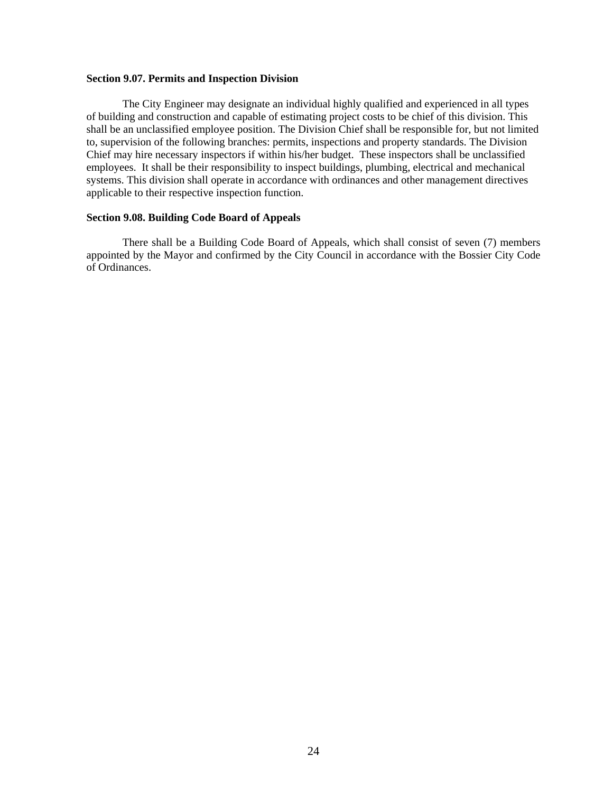#### **Section 9.07. Permits and Inspection Division**

The City Engineer may designate an individual highly qualified and experienced in all types of building and construction and capable of estimating project costs to be chief of this division. This shall be an unclassified employee position. The Division Chief shall be responsible for, but not limited to, supervision of the following branches: permits, inspections and property standards. The Division Chief may hire necessary inspectors if within his/her budget. These inspectors shall be unclassified employees. It shall be their responsibility to inspect buildings, plumbing, electrical and mechanical systems. This division shall operate in accordance with ordinances and other management directives applicable to their respective inspection function.

#### **Section 9.08. Building Code Board of Appeals**

There shall be a Building Code Board of Appeals, which shall consist of seven (7) members appointed by the Mayor and confirmed by the City Council in accordance with the Bossier City Code of Ordinances.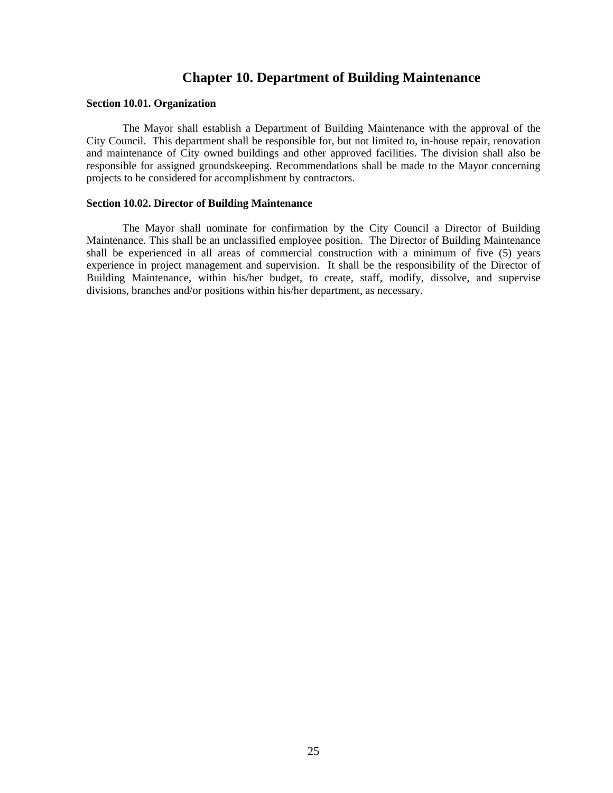# **Chapter 10. Department of Building Maintenance**

#### **Section 10.01. Organization**

The Mayor shall establish a Department of Building Maintenance with the approval of the City Council. This department shall be responsible for, but not limited to, in-house repair, renovation and maintenance of City owned buildings and other approved facilities. The division shall also be responsible for assigned groundskeeping. Recommendations shall be made to the Mayor concerning projects to be considered for accomplishment by contractors.

#### **Section 10.02. Director of Building Maintenance**

The Mayor shall nominate for confirmation by the City Council a Director of Building Maintenance. This shall be an unclassified employee position. The Director of Building Maintenance shall be experienced in all areas of commercial construction with a minimum of five (5) years experience in project management and supervision. It shall be the responsibility of the Director of Building Maintenance, within his/her budget, to create, staff, modify, dissolve, and supervise divisions, branches and/or positions within his/her department, as necessary.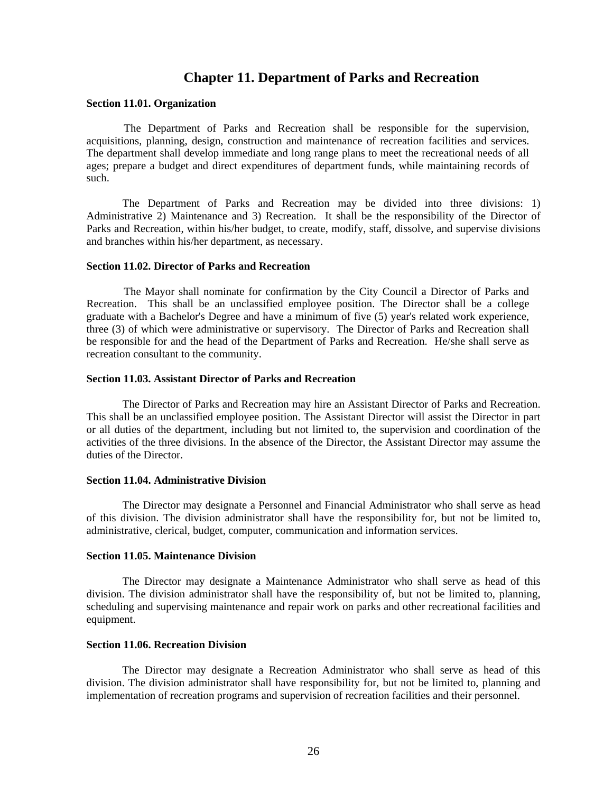### **Chapter 11. Department of Parks and Recreation**

#### **Section 11.01. Organization**

The Department of Parks and Recreation shall be responsible for the supervision, acquisitions, planning, design, construction and maintenance of recreation facilities and services. The department shall develop immediate and long range plans to meet the recreational needs of all ages; prepare a budget and direct expenditures of department funds, while maintaining records of such.

The Department of Parks and Recreation may be divided into three divisions: 1) Administrative 2) Maintenance and 3) Recreation. It shall be the responsibility of the Director of Parks and Recreation, within his/her budget, to create, modify, staff, dissolve, and supervise divisions and branches within his/her department, as necessary.

#### **Section 11.02. Director of Parks and Recreation**

The Mayor shall nominate for confirmation by the City Council a Director of Parks and Recreation. This shall be an unclassified employee position. The Director shall be a college graduate with a Bachelor's Degree and have a minimum of five (5) year's related work experience, three (3) of which were administrative or supervisory. The Director of Parks and Recreation shall be responsible for and the head of the Department of Parks and Recreation. He/she shall serve as recreation consultant to the community.

#### **Section 11.03. Assistant Director of Parks and Recreation**

The Director of Parks and Recreation may hire an Assistant Director of Parks and Recreation. This shall be an unclassified employee position. The Assistant Director will assist the Director in part or all duties of the department, including but not limited to, the supervision and coordination of the activities of the three divisions. In the absence of the Director, the Assistant Director may assume the duties of the Director.

#### **Section 11.04. Administrative Division**

The Director may designate a Personnel and Financial Administrator who shall serve as head of this division. The division administrator shall have the responsibility for, but not be limited to, administrative, clerical, budget, computer, communication and information services.

#### **Section 11.05. Maintenance Division**

The Director may designate a Maintenance Administrator who shall serve as head of this division. The division administrator shall have the responsibility of, but not be limited to, planning, scheduling and supervising maintenance and repair work on parks and other recreational facilities and equipment.

#### **Section 11.06. Recreation Division**

The Director may designate a Recreation Administrator who shall serve as head of this division. The division administrator shall have responsibility for, but not be limited to, planning and implementation of recreation programs and supervision of recreation facilities and their personnel.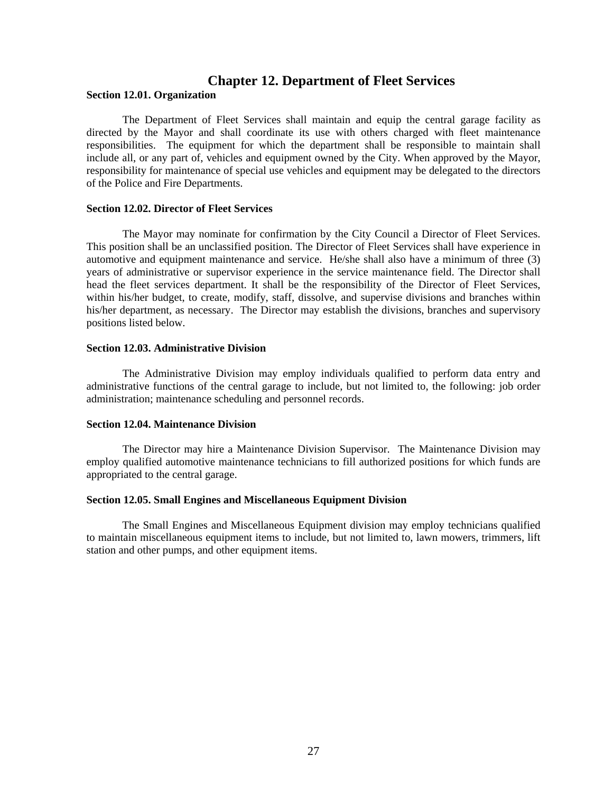### **Chapter 12. Department of Fleet Services**

#### **Section 12.01. Organization**

The Department of Fleet Services shall maintain and equip the central garage facility as directed by the Mayor and shall coordinate its use with others charged with fleet maintenance responsibilities. The equipment for which the department shall be responsible to maintain shall include all, or any part of, vehicles and equipment owned by the City. When approved by the Mayor, responsibility for maintenance of special use vehicles and equipment may be delegated to the directors of the Police and Fire Departments.

#### **Section 12.02. Director of Fleet Services**

The Mayor may nominate for confirmation by the City Council a Director of Fleet Services. This position shall be an unclassified position. The Director of Fleet Services shall have experience in automotive and equipment maintenance and service. He/she shall also have a minimum of three (3) years of administrative or supervisor experience in the service maintenance field. The Director shall head the fleet services department. It shall be the responsibility of the Director of Fleet Services, within his/her budget, to create, modify, staff, dissolve, and supervise divisions and branches within his/her department, as necessary. The Director may establish the divisions, branches and supervisory positions listed below.

#### **Section 12.03. Administrative Division**

The Administrative Division may employ individuals qualified to perform data entry and administrative functions of the central garage to include, but not limited to, the following: job order administration; maintenance scheduling and personnel records.

#### **Section 12.04. Maintenance Division**

The Director may hire a Maintenance Division Supervisor. The Maintenance Division may employ qualified automotive maintenance technicians to fill authorized positions for which funds are appropriated to the central garage.

#### **Section 12.05. Small Engines and Miscellaneous Equipment Division**

The Small Engines and Miscellaneous Equipment division may employ technicians qualified to maintain miscellaneous equipment items to include, but not limited to, lawn mowers, trimmers, lift station and other pumps, and other equipment items.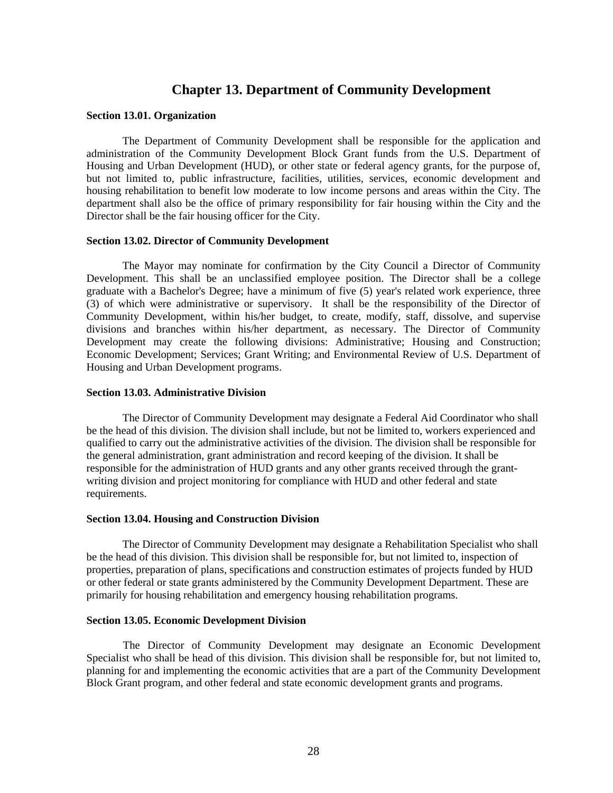# **Chapter 13. Department of Community Development**

#### **Section 13.01. Organization**

The Department of Community Development shall be responsible for the application and administration of the Community Development Block Grant funds from the U.S. Department of Housing and Urban Development (HUD), or other state or federal agency grants, for the purpose of, but not limited to, public infrastructure, facilities, utilities, services, economic development and housing rehabilitation to benefit low moderate to low income persons and areas within the City. The department shall also be the office of primary responsibility for fair housing within the City and the Director shall be the fair housing officer for the City.

#### **Section 13.02. Director of Community Development**

The Mayor may nominate for confirmation by the City Council a Director of Community Development. This shall be an unclassified employee position. The Director shall be a college graduate with a Bachelor's Degree; have a minimum of five (5) year's related work experience, three (3) of which were administrative or supervisory. It shall be the responsibility of the Director of Community Development, within his/her budget, to create, modify, staff, dissolve, and supervise divisions and branches within his/her department, as necessary. The Director of Community Development may create the following divisions: Administrative; Housing and Construction; Economic Development; Services; Grant Writing; and Environmental Review of U.S. Department of Housing and Urban Development programs.

#### **Section 13.03. Administrative Division**

The Director of Community Development may designate a Federal Aid Coordinator who shall be the head of this division. The division shall include, but not be limited to, workers experienced and qualified to carry out the administrative activities of the division. The division shall be responsible for the general administration, grant administration and record keeping of the division. It shall be responsible for the administration of HUD grants and any other grants received through the grantwriting division and project monitoring for compliance with HUD and other federal and state requirements.

#### **Section 13.04. Housing and Construction Division**

The Director of Community Development may designate a Rehabilitation Specialist who shall be the head of this division. This division shall be responsible for, but not limited to, inspection of properties, preparation of plans, specifications and construction estimates of projects funded by HUD or other federal or state grants administered by the Community Development Department. These are primarily for housing rehabilitation and emergency housing rehabilitation programs.

#### **Section 13.05. Economic Development Division**

The Director of Community Development may designate an Economic Development Specialist who shall be head of this division. This division shall be responsible for, but not limited to, planning for and implementing the economic activities that are a part of the Community Development Block Grant program, and other federal and state economic development grants and programs.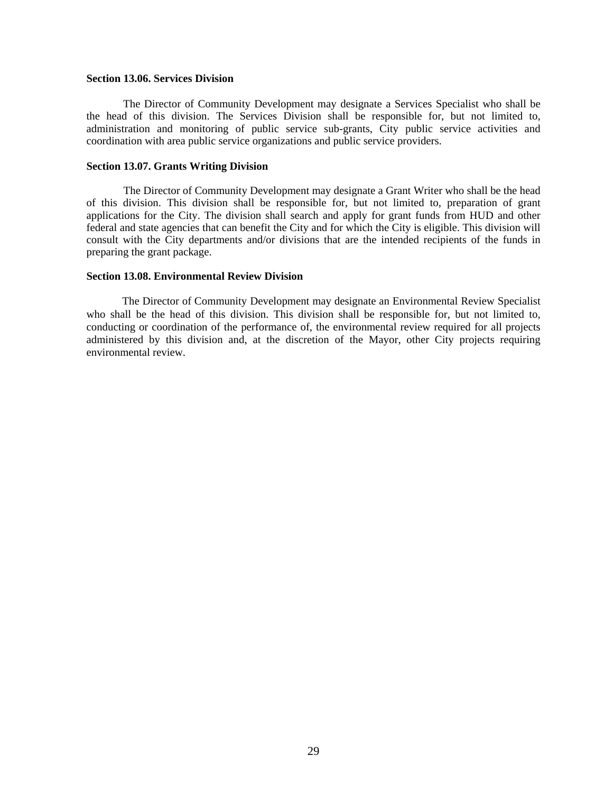#### **Section 13.06. Services Division**

The Director of Community Development may designate a Services Specialist who shall be the head of this division. The Services Division shall be responsible for, but not limited to, administration and monitoring of public service sub-grants, City public service activities and coordination with area public service organizations and public service providers.

#### **Section 13.07. Grants Writing Division**

The Director of Community Development may designate a Grant Writer who shall be the head of this division. This division shall be responsible for, but not limited to, preparation of grant applications for the City. The division shall search and apply for grant funds from HUD and other federal and state agencies that can benefit the City and for which the City is eligible. This division will consult with the City departments and/or divisions that are the intended recipients of the funds in preparing the grant package.

#### **Section 13.08. Environmental Review Division**

The Director of Community Development may designate an Environmental Review Specialist who shall be the head of this division. This division shall be responsible for, but not limited to, conducting or coordination of the performance of, the environmental review required for all projects administered by this division and, at the discretion of the Mayor, other City projects requiring environmental review.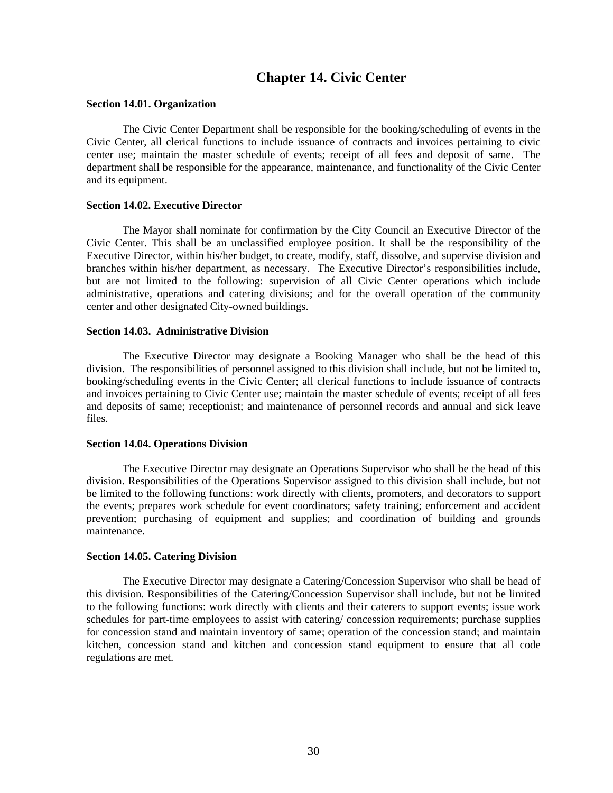# **Chapter 14. Civic Center**

#### **Section 14.01. Organization**

The Civic Center Department shall be responsible for the booking/scheduling of events in the Civic Center, all clerical functions to include issuance of contracts and invoices pertaining to civic center use; maintain the master schedule of events; receipt of all fees and deposit of same. The department shall be responsible for the appearance, maintenance, and functionality of the Civic Center and its equipment.

#### **Section 14.02. Executive Director**

The Mayor shall nominate for confirmation by the City Council an Executive Director of the Civic Center. This shall be an unclassified employee position. It shall be the responsibility of the Executive Director, within his/her budget, to create, modify, staff, dissolve, and supervise division and branches within his/her department, as necessary. The Executive Director's responsibilities include, but are not limited to the following: supervision of all Civic Center operations which include administrative, operations and catering divisions; and for the overall operation of the community center and other designated City-owned buildings.

#### **Section 14.03. Administrative Division**

 The Executive Director may designate a Booking Manager who shall be the head of this division. The responsibilities of personnel assigned to this division shall include, but not be limited to, booking/scheduling events in the Civic Center; all clerical functions to include issuance of contracts and invoices pertaining to Civic Center use; maintain the master schedule of events; receipt of all fees and deposits of same; receptionist; and maintenance of personnel records and annual and sick leave files.

#### **Section 14.04. Operations Division**

The Executive Director may designate an Operations Supervisor who shall be the head of this division. Responsibilities of the Operations Supervisor assigned to this division shall include, but not be limited to the following functions: work directly with clients, promoters, and decorators to support the events; prepares work schedule for event coordinators; safety training; enforcement and accident prevention; purchasing of equipment and supplies; and coordination of building and grounds maintenance.

#### **Section 14.05. Catering Division**

The Executive Director may designate a Catering/Concession Supervisor who shall be head of this division. Responsibilities of the Catering/Concession Supervisor shall include, but not be limited to the following functions: work directly with clients and their caterers to support events; issue work schedules for part-time employees to assist with catering/ concession requirements; purchase supplies for concession stand and maintain inventory of same; operation of the concession stand; and maintain kitchen, concession stand and kitchen and concession stand equipment to ensure that all code regulations are met.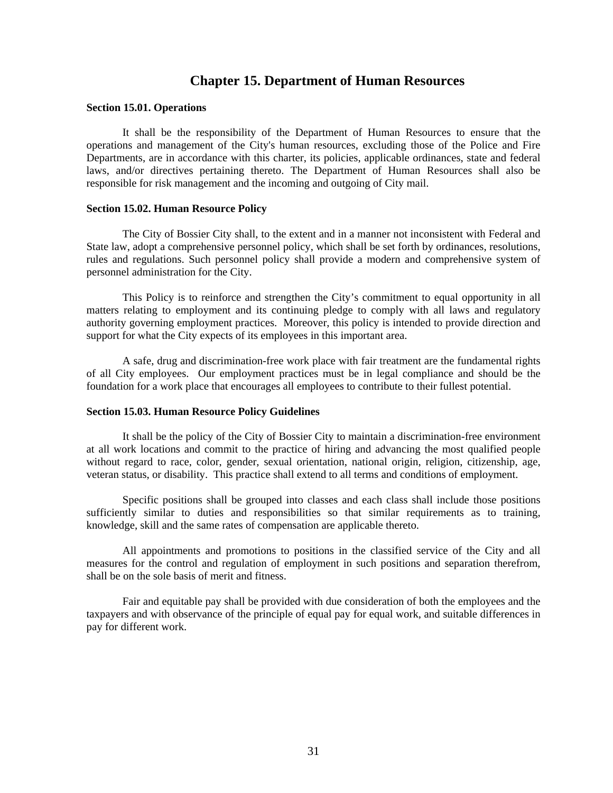### **Chapter 15. Department of Human Resources**

#### **Section 15.01. Operations**

 It shall be the responsibility of the Department of Human Resources to ensure that the operations and management of the City's human resources, excluding those of the Police and Fire Departments, are in accordance with this charter, its policies, applicable ordinances, state and federal laws, and/or directives pertaining thereto. The Department of Human Resources shall also be responsible for risk management and the incoming and outgoing of City mail.

#### **Section 15.02. Human Resource Policy**

 The City of Bossier City shall, to the extent and in a manner not inconsistent with Federal and State law, adopt a comprehensive personnel policy, which shall be set forth by ordinances, resolutions, rules and regulations. Such personnel policy shall provide a modern and comprehensive system of personnel administration for the City.

This Policy is to reinforce and strengthen the City's commitment to equal opportunity in all matters relating to employment and its continuing pledge to comply with all laws and regulatory authority governing employment practices. Moreover, this policy is intended to provide direction and support for what the City expects of its employees in this important area.

A safe, drug and discrimination-free work place with fair treatment are the fundamental rights of all City employees. Our employment practices must be in legal compliance and should be the foundation for a work place that encourages all employees to contribute to their fullest potential.

#### **Section 15.03. Human Resource Policy Guidelines**

 It shall be the policy of the City of Bossier City to maintain a discrimination-free environment at all work locations and commit to the practice of hiring and advancing the most qualified people without regard to race, color, gender, sexual orientation, national origin, religion, citizenship, age, veteran status, or disability. This practice shall extend to all terms and conditions of employment.

Specific positions shall be grouped into classes and each class shall include those positions sufficiently similar to duties and responsibilities so that similar requirements as to training, knowledge, skill and the same rates of compensation are applicable thereto.

All appointments and promotions to positions in the classified service of the City and all measures for the control and regulation of employment in such positions and separation therefrom, shall be on the sole basis of merit and fitness.

Fair and equitable pay shall be provided with due consideration of both the employees and the taxpayers and with observance of the principle of equal pay for equal work, and suitable differences in pay for different work.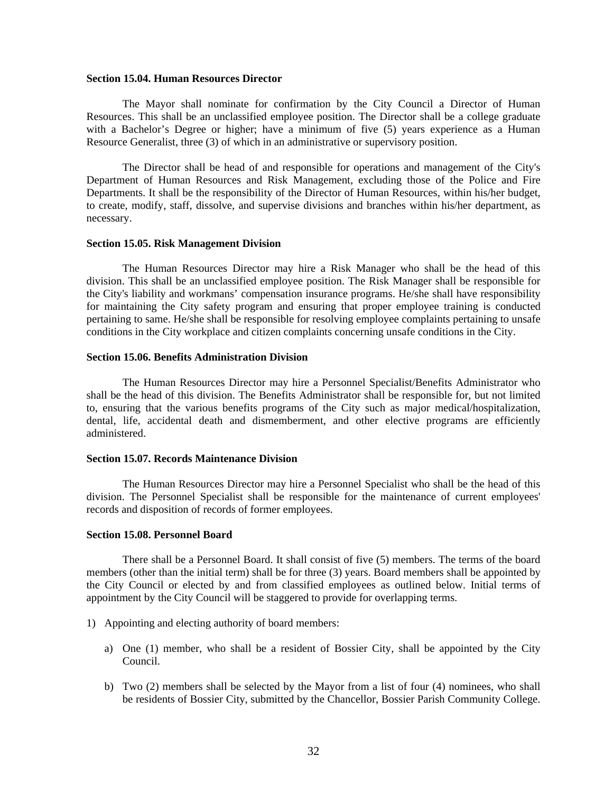#### **Section 15.04. Human Resources Director**

The Mayor shall nominate for confirmation by the City Council a Director of Human Resources. This shall be an unclassified employee position. The Director shall be a college graduate with a Bachelor's Degree or higher; have a minimum of five (5) years experience as a Human Resource Generalist, three (3) of which in an administrative or supervisory position.

The Director shall be head of and responsible for operations and management of the City's Department of Human Resources and Risk Management, excluding those of the Police and Fire Departments. It shall be the responsibility of the Director of Human Resources, within his/her budget, to create, modify, staff, dissolve, and supervise divisions and branches within his/her department, as necessary.

#### **Section 15.05. Risk Management Division**

The Human Resources Director may hire a Risk Manager who shall be the head of this division. This shall be an unclassified employee position. The Risk Manager shall be responsible for the City's liability and workmans' compensation insurance programs. He/she shall have responsibility for maintaining the City safety program and ensuring that proper employee training is conducted pertaining to same. He/she shall be responsible for resolving employee complaints pertaining to unsafe conditions in the City workplace and citizen complaints concerning unsafe conditions in the City.

#### **Section 15.06. Benefits Administration Division**

The Human Resources Director may hire a Personnel Specialist/Benefits Administrator who shall be the head of this division. The Benefits Administrator shall be responsible for, but not limited to, ensuring that the various benefits programs of the City such as major medical/hospitalization, dental, life, accidental death and dismemberment, and other elective programs are efficiently administered.

#### **Section 15.07. Records Maintenance Division**

 The Human Resources Director may hire a Personnel Specialist who shall be the head of this division. The Personnel Specialist shall be responsible for the maintenance of current employees' records and disposition of records of former employees.

#### **Section 15.08. Personnel Board**

There shall be a Personnel Board. It shall consist of five (5) members. The terms of the board members (other than the initial term) shall be for three (3) years. Board members shall be appointed by the City Council or elected by and from classified employees as outlined below. Initial terms of appointment by the City Council will be staggered to provide for overlapping terms.

- 1) Appointing and electing authority of board members:
	- a) One (1) member, who shall be a resident of Bossier City, shall be appointed by the City Council.
	- b) Two (2) members shall be selected by the Mayor from a list of four (4) nominees, who shall be residents of Bossier City, submitted by the Chancellor, Bossier Parish Community College.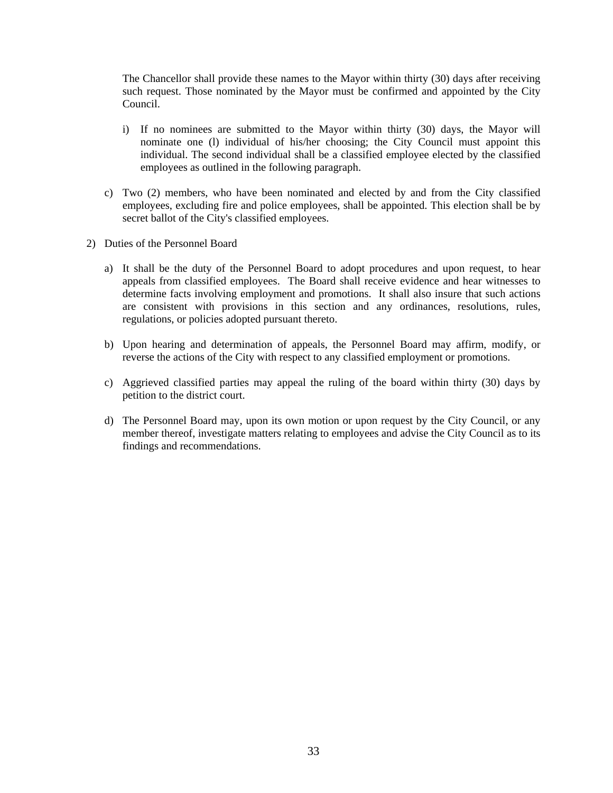The Chancellor shall provide these names to the Mayor within thirty (30) days after receiving such request. Those nominated by the Mayor must be confirmed and appointed by the City Council.

- i) If no nominees are submitted to the Mayor within thirty (30) days, the Mayor will nominate one (l) individual of his/her choosing; the City Council must appoint this individual. The second individual shall be a classified employee elected by the classified employees as outlined in the following paragraph.
- c) Two (2) members, who have been nominated and elected by and from the City classified employees, excluding fire and police employees, shall be appointed. This election shall be by secret ballot of the City's classified employees.
- 2) Duties of the Personnel Board
	- a) It shall be the duty of the Personnel Board to adopt procedures and upon request, to hear appeals from classified employees. The Board shall receive evidence and hear witnesses to determine facts involving employment and promotions. It shall also insure that such actions are consistent with provisions in this section and any ordinances, resolutions, rules, regulations, or policies adopted pursuant thereto.
	- b) Upon hearing and determination of appeals, the Personnel Board may affirm, modify, or reverse the actions of the City with respect to any classified employment or promotions.
	- c) Aggrieved classified parties may appeal the ruling of the board within thirty (30) days by petition to the district court.
	- d) The Personnel Board may, upon its own motion or upon request by the City Council, or any member thereof, investigate matters relating to employees and advise the City Council as to its findings and recommendations.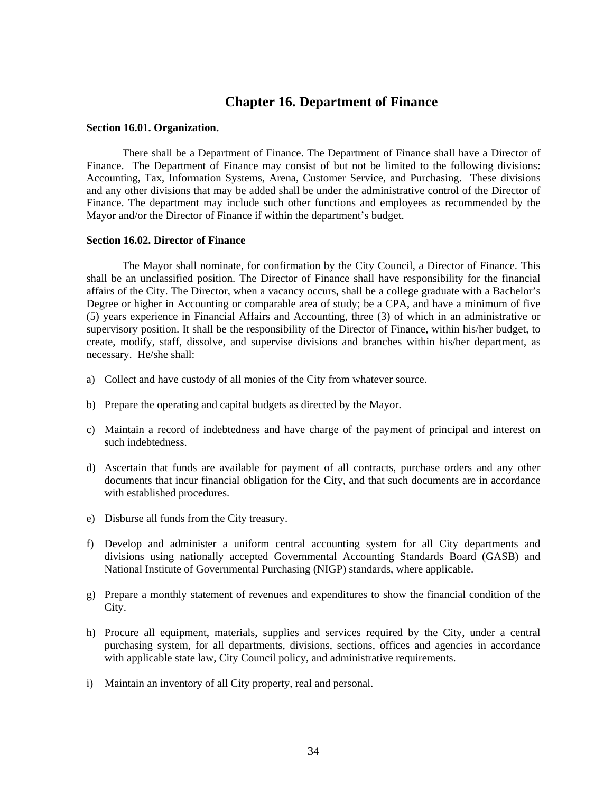### **Chapter 16. Department of Finance**

#### **Section 16.01. Organization.**

There shall be a Department of Finance. The Department of Finance shall have a Director of Finance. The Department of Finance may consist of but not be limited to the following divisions: Accounting, Tax, Information Systems, Arena, Customer Service, and Purchasing. These divisions and any other divisions that may be added shall be under the administrative control of the Director of Finance. The department may include such other functions and employees as recommended by the Mayor and/or the Director of Finance if within the department's budget.

#### **Section 16.02. Director of Finance**

The Mayor shall nominate, for confirmation by the City Council, a Director of Finance. This shall be an unclassified position. The Director of Finance shall have responsibility for the financial affairs of the City. The Director, when a vacancy occurs, shall be a college graduate with a Bachelor's Degree or higher in Accounting or comparable area of study; be a CPA, and have a minimum of five (5) years experience in Financial Affairs and Accounting, three (3) of which in an administrative or supervisory position. It shall be the responsibility of the Director of Finance, within his/her budget, to create, modify, staff, dissolve, and supervise divisions and branches within his/her department, as necessary. He/she shall:

- a) Collect and have custody of all monies of the City from whatever source.
- b) Prepare the operating and capital budgets as directed by the Mayor.
- c) Maintain a record of indebtedness and have charge of the payment of principal and interest on such indebtedness.
- d) Ascertain that funds are available for payment of all contracts, purchase orders and any other documents that incur financial obligation for the City, and that such documents are in accordance with established procedures.
- e) Disburse all funds from the City treasury.
- f) Develop and administer a uniform central accounting system for all City departments and divisions using nationally accepted Governmental Accounting Standards Board (GASB) and National Institute of Governmental Purchasing (NIGP) standards, where applicable.
- g) Prepare a monthly statement of revenues and expenditures to show the financial condition of the City.
- h) Procure all equipment, materials, supplies and services required by the City, under a central purchasing system, for all departments, divisions, sections, offices and agencies in accordance with applicable state law, City Council policy, and administrative requirements.
- i) Maintain an inventory of all City property, real and personal.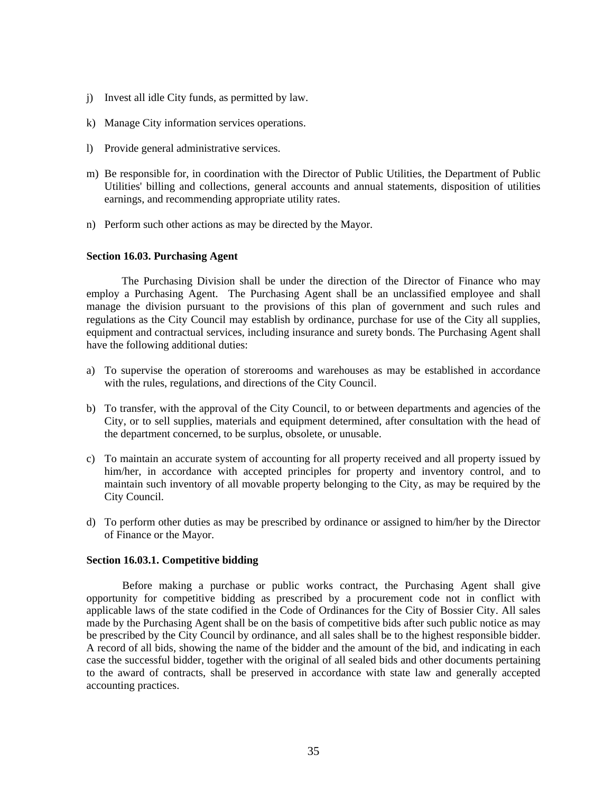- j) Invest all idle City funds, as permitted by law.
- k) Manage City information services operations.
- l) Provide general administrative services.
- m) Be responsible for, in coordination with the Director of Public Utilities, the Department of Public Utilities' billing and collections, general accounts and annual statements, disposition of utilities earnings, and recommending appropriate utility rates.
- n) Perform such other actions as may be directed by the Mayor.

#### **Section 16.03. Purchasing Agent**

The Purchasing Division shall be under the direction of the Director of Finance who may employ a Purchasing Agent. The Purchasing Agent shall be an unclassified employee and shall manage the division pursuant to the provisions of this plan of government and such rules and regulations as the City Council may establish by ordinance, purchase for use of the City all supplies, equipment and contractual services, including insurance and surety bonds. The Purchasing Agent shall have the following additional duties:

- a) To supervise the operation of storerooms and warehouses as may be established in accordance with the rules, regulations, and directions of the City Council.
- b) To transfer, with the approval of the City Council, to or between departments and agencies of the City, or to sell supplies, materials and equipment determined, after consultation with the head of the department concerned, to be surplus, obsolete, or unusable.
- c) To maintain an accurate system of accounting for all property received and all property issued by him/her, in accordance with accepted principles for property and inventory control, and to maintain such inventory of all movable property belonging to the City, as may be required by the City Council.
- d) To perform other duties as may be prescribed by ordinance or assigned to him/her by the Director of Finance or the Mayor.

#### **Section 16.03.1. Competitive bidding**

Before making a purchase or public works contract, the Purchasing Agent shall give opportunity for competitive bidding as prescribed by a procurement code not in conflict with applicable laws of the state codified in the Code of Ordinances for the City of Bossier City. All sales made by the Purchasing Agent shall be on the basis of competitive bids after such public notice as may be prescribed by the City Council by ordinance, and all sales shall be to the highest responsible bidder. A record of all bids, showing the name of the bidder and the amount of the bid, and indicating in each case the successful bidder, together with the original of all sealed bids and other documents pertaining to the award of contracts, shall be preserved in accordance with state law and generally accepted accounting practices.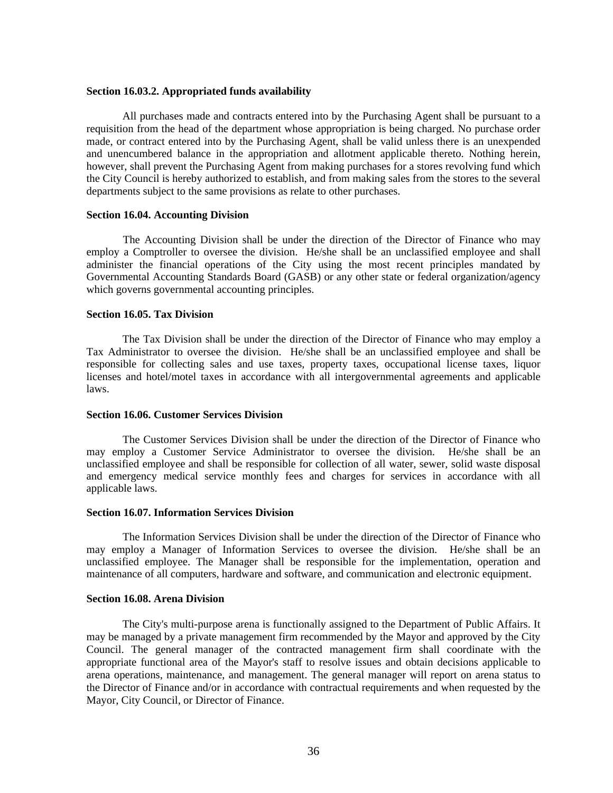#### **Section 16.03.2. Appropriated funds availability**

 All purchases made and contracts entered into by the Purchasing Agent shall be pursuant to a requisition from the head of the department whose appropriation is being charged. No purchase order made, or contract entered into by the Purchasing Agent, shall be valid unless there is an unexpended and unencumbered balance in the appropriation and allotment applicable thereto. Nothing herein, however, shall prevent the Purchasing Agent from making purchases for a stores revolving fund which the City Council is hereby authorized to establish, and from making sales from the stores to the several departments subject to the same provisions as relate to other purchases.

#### **Section 16.04. Accounting Division**

The Accounting Division shall be under the direction of the Director of Finance who may employ a Comptroller to oversee the division. He/she shall be an unclassified employee and shall administer the financial operations of the City using the most recent principles mandated by Governmental Accounting Standards Board (GASB) or any other state or federal organization/agency which governs governmental accounting principles.

#### **Section 16.05. Tax Division**

The Tax Division shall be under the direction of the Director of Finance who may employ a Tax Administrator to oversee the division. He/she shall be an unclassified employee and shall be responsible for collecting sales and use taxes, property taxes, occupational license taxes, liquor licenses and hotel/motel taxes in accordance with all intergovernmental agreements and applicable laws.

#### **Section 16.06. Customer Services Division**

The Customer Services Division shall be under the direction of the Director of Finance who may employ a Customer Service Administrator to oversee the division. He/she shall be an unclassified employee and shall be responsible for collection of all water, sewer, solid waste disposal and emergency medical service monthly fees and charges for services in accordance with all applicable laws.

#### **Section 16.07. Information Services Division**

The Information Services Division shall be under the direction of the Director of Finance who may employ a Manager of Information Services to oversee the division. He/she shall be an unclassified employee. The Manager shall be responsible for the implementation, operation and maintenance of all computers, hardware and software, and communication and electronic equipment.

#### **Section 16.08. Arena Division**

The City's multi-purpose arena is functionally assigned to the Department of Public Affairs. It may be managed by a private management firm recommended by the Mayor and approved by the City Council. The general manager of the contracted management firm shall coordinate with the appropriate functional area of the Mayor's staff to resolve issues and obtain decisions applicable to arena operations, maintenance, and management. The general manager will report on arena status to the Director of Finance and/or in accordance with contractual requirements and when requested by the Mayor, City Council, or Director of Finance.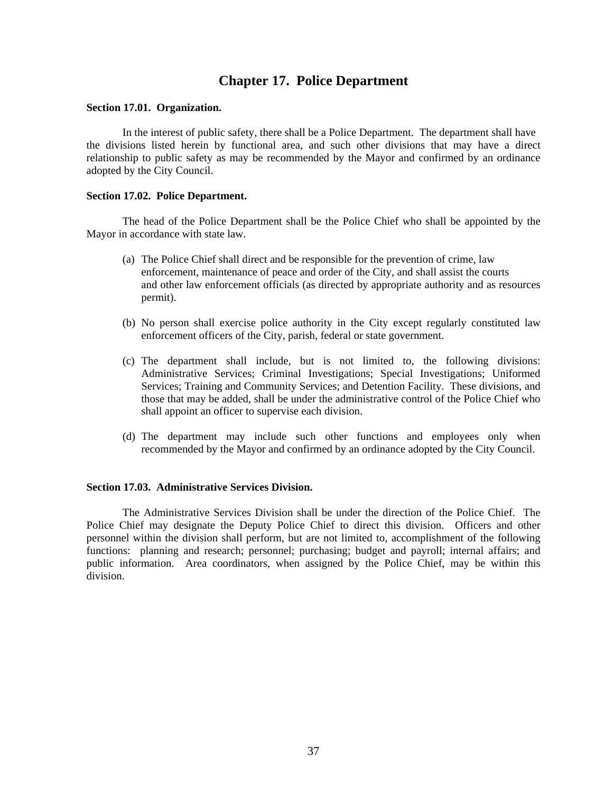# **Chapter 17. Police Department**

#### **Section 17.01. Organization.**

In the interest of public safety, there shall be a Police Department. The department shall have the divisions listed herein by functional area, and such other divisions that may have a direct relationship to public safety as may be recommended by the Mayor and confirmed by an ordinance adopted by the City Council.

#### **Section 17.02. Police Department.**

The head of the Police Department shall be the Police Chief who shall be appointed by the Mayor in accordance with state law.

- (a) The Police Chief shall direct and be responsible for the prevention of crime, law enforcement, maintenance of peace and order of the City, and shall assist the courts and other law enforcement officials (as directed by appropriate authority and as resources permit).
- (b) No person shall exercise police authority in the City except regularly constituted law enforcement officers of the City, parish, federal or state government.
- (c) The department shall include, but is not limited to, the following divisions: Administrative Services; Criminal Investigations; Special Investigations; Uniformed Services; Training and Community Services; and Detention Facility. These divisions, and those that may be added, shall be under the administrative control of the Police Chief who shall appoint an officer to supervise each division.
- (d) The department may include such other functions and employees only when recommended by the Mayor and confirmed by an ordinance adopted by the City Council.

#### **Section 17.03. Administrative Services Division.**

 The Administrative Services Division shall be under the direction of the Police Chief. The Police Chief may designate the Deputy Police Chief to direct this division. Officers and other personnel within the division shall perform, but are not limited to, accomplishment of the following functions: planning and research; personnel; purchasing; budget and payroll; internal affairs; and public information. Area coordinators, when assigned by the Police Chief, may be within this division.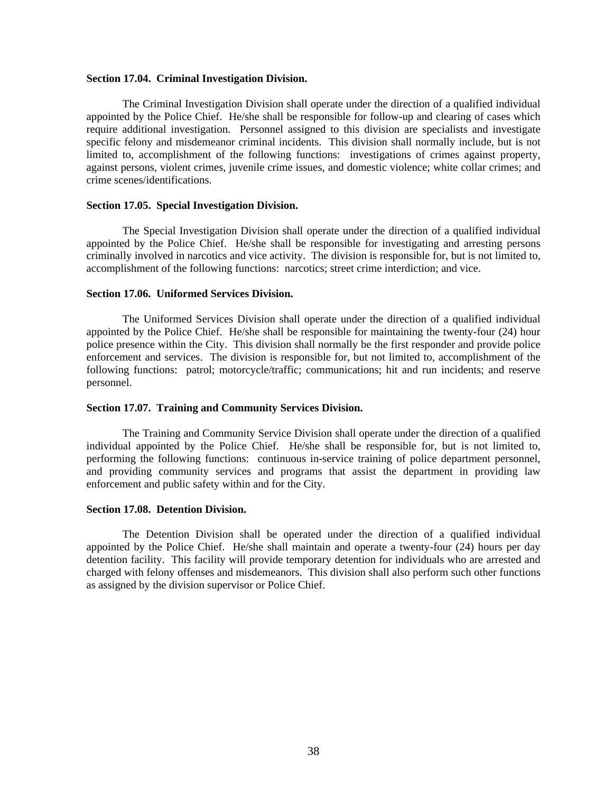#### **Section 17.04. Criminal Investigation Division.**

 The Criminal Investigation Division shall operate under the direction of a qualified individual appointed by the Police Chief. He/she shall be responsible for follow-up and clearing of cases which require additional investigation. Personnel assigned to this division are specialists and investigate specific felony and misdemeanor criminal incidents. This division shall normally include, but is not limited to, accomplishment of the following functions: investigations of crimes against property, against persons, violent crimes, juvenile crime issues, and domestic violence; white collar crimes; and crime scenes/identifications.

#### **Section 17.05. Special Investigation Division.**

 The Special Investigation Division shall operate under the direction of a qualified individual appointed by the Police Chief. He/she shall be responsible for investigating and arresting persons criminally involved in narcotics and vice activity. The division is responsible for, but is not limited to, accomplishment of the following functions: narcotics; street crime interdiction; and vice.

#### **Section 17.06. Uniformed Services Division.**

 The Uniformed Services Division shall operate under the direction of a qualified individual appointed by the Police Chief. He/she shall be responsible for maintaining the twenty-four (24) hour police presence within the City. This division shall normally be the first responder and provide police enforcement and services. The division is responsible for, but not limited to, accomplishment of the following functions: patrol; motorcycle/traffic; communications; hit and run incidents; and reserve personnel.

#### **Section 17.07. Training and Community Services Division.**

The Training and Community Service Division shall operate under the direction of a qualified individual appointed by the Police Chief. He/she shall be responsible for, but is not limited to, performing the following functions: continuous in-service training of police department personnel, and providing community services and programs that assist the department in providing law enforcement and public safety within and for the City.

#### **Section 17.08. Detention Division.**

 The Detention Division shall be operated under the direction of a qualified individual appointed by the Police Chief. He/she shall maintain and operate a twenty-four (24) hours per day detention facility. This facility will provide temporary detention for individuals who are arrested and charged with felony offenses and misdemeanors. This division shall also perform such other functions as assigned by the division supervisor or Police Chief.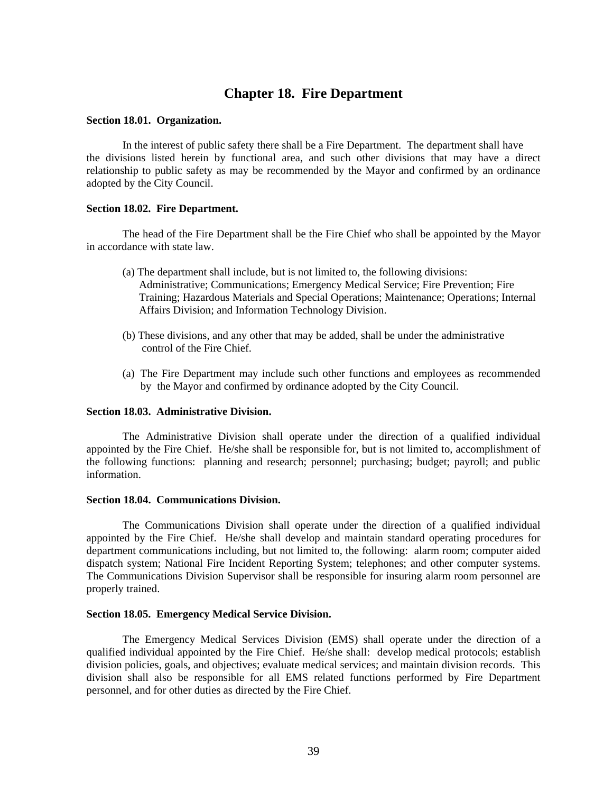# **Chapter 18. Fire Department**

#### **Section 18.01. Organization.**

In the interest of public safety there shall be a Fire Department. The department shall have the divisions listed herein by functional area, and such other divisions that may have a direct relationship to public safety as may be recommended by the Mayor and confirmed by an ordinance adopted by the City Council.

#### **Section 18.02. Fire Department.**

The head of the Fire Department shall be the Fire Chief who shall be appointed by the Mayor in accordance with state law.

- (a) The department shall include, but is not limited to, the following divisions: Administrative; Communications; Emergency Medical Service; Fire Prevention; Fire Training; Hazardous Materials and Special Operations; Maintenance; Operations; Internal Affairs Division; and Information Technology Division.
- (b) These divisions, and any other that may be added, shall be under the administrative control of the Fire Chief.
- (a) The Fire Department may include such other functions and employees as recommended by the Mayor and confirmed by ordinance adopted by the City Council.

#### **Section 18.03. Administrative Division.**

 The Administrative Division shall operate under the direction of a qualified individual appointed by the Fire Chief. He/she shall be responsible for, but is not limited to, accomplishment of the following functions: planning and research; personnel; purchasing; budget; payroll; and public information.

#### **Section 18.04. Communications Division.**

 The Communications Division shall operate under the direction of a qualified individual appointed by the Fire Chief. He/she shall develop and maintain standard operating procedures for department communications including, but not limited to, the following: alarm room; computer aided dispatch system; National Fire Incident Reporting System; telephones; and other computer systems. The Communications Division Supervisor shall be responsible for insuring alarm room personnel are properly trained.

#### **Section 18.05. Emergency Medical Service Division.**

 The Emergency Medical Services Division (EMS) shall operate under the direction of a qualified individual appointed by the Fire Chief. He/she shall: develop medical protocols; establish division policies, goals, and objectives; evaluate medical services; and maintain division records. This division shall also be responsible for all EMS related functions performed by Fire Department personnel, and for other duties as directed by the Fire Chief.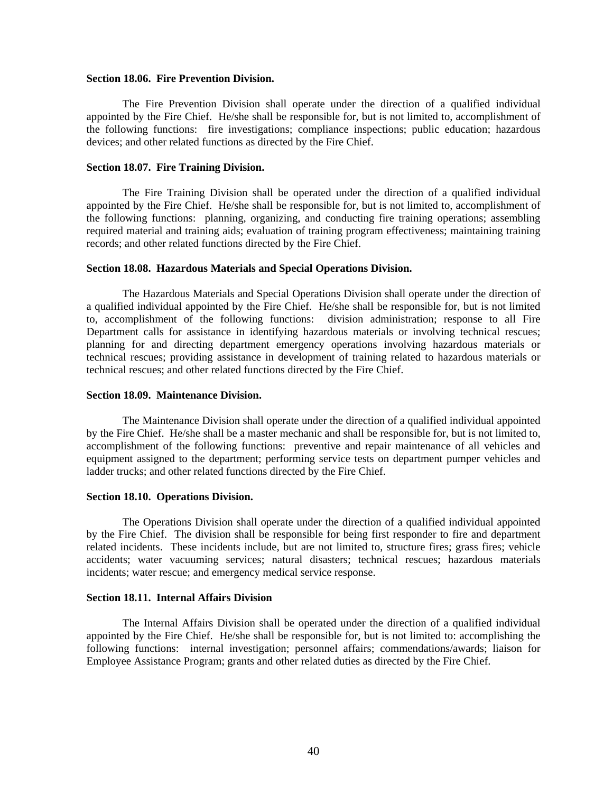#### **Section 18.06. Fire Prevention Division.**

 The Fire Prevention Division shall operate under the direction of a qualified individual appointed by the Fire Chief. He/she shall be responsible for, but is not limited to, accomplishment of the following functions: fire investigations; compliance inspections; public education; hazardous devices; and other related functions as directed by the Fire Chief.

#### **Section 18.07. Fire Training Division.**

 The Fire Training Division shall be operated under the direction of a qualified individual appointed by the Fire Chief. He/she shall be responsible for, but is not limited to, accomplishment of the following functions: planning, organizing, and conducting fire training operations; assembling required material and training aids; evaluation of training program effectiveness; maintaining training records; and other related functions directed by the Fire Chief.

#### **Section 18.08. Hazardous Materials and Special Operations Division.**

 The Hazardous Materials and Special Operations Division shall operate under the direction of a qualified individual appointed by the Fire Chief. He/she shall be responsible for, but is not limited to, accomplishment of the following functions: division administration; response to all Fire Department calls for assistance in identifying hazardous materials or involving technical rescues; planning for and directing department emergency operations involving hazardous materials or technical rescues; providing assistance in development of training related to hazardous materials or technical rescues; and other related functions directed by the Fire Chief.

#### **Section 18.09. Maintenance Division.**

 The Maintenance Division shall operate under the direction of a qualified individual appointed by the Fire Chief. He/she shall be a master mechanic and shall be responsible for, but is not limited to, accomplishment of the following functions: preventive and repair maintenance of all vehicles and equipment assigned to the department; performing service tests on department pumper vehicles and ladder trucks; and other related functions directed by the Fire Chief.

#### **Section 18.10. Operations Division.**

 The Operations Division shall operate under the direction of a qualified individual appointed by the Fire Chief. The division shall be responsible for being first responder to fire and department related incidents. These incidents include, but are not limited to, structure fires; grass fires; vehicle accidents; water vacuuming services; natural disasters; technical rescues; hazardous materials incidents; water rescue; and emergency medical service response.

#### **Section 18.11. Internal Affairs Division**

 The Internal Affairs Division shall be operated under the direction of a qualified individual appointed by the Fire Chief. He/she shall be responsible for, but is not limited to: accomplishing the following functions: internal investigation; personnel affairs; commendations/awards; liaison for Employee Assistance Program; grants and other related duties as directed by the Fire Chief.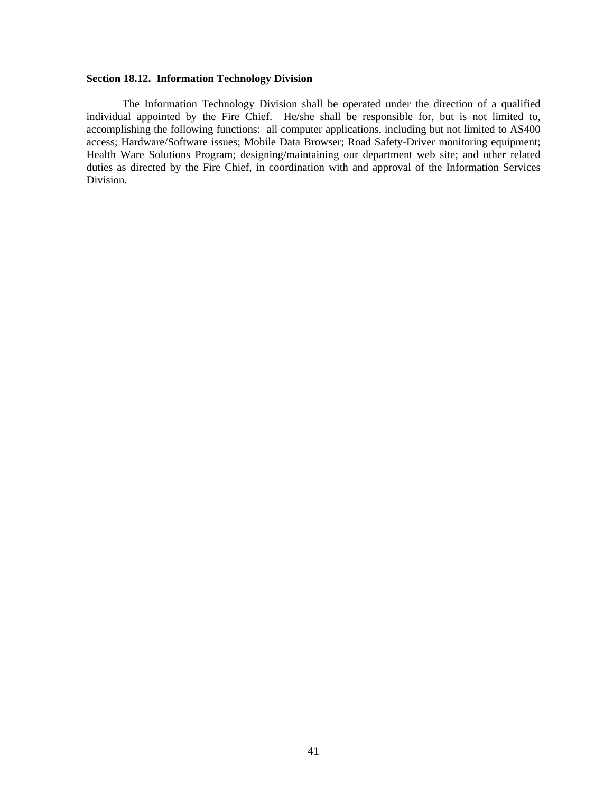#### **Section 18.12. Information Technology Division**

 The Information Technology Division shall be operated under the direction of a qualified individual appointed by the Fire Chief. He/she shall be responsible for, but is not limited to, accomplishing the following functions: all computer applications, including but not limited to AS400 access; Hardware/Software issues; Mobile Data Browser; Road Safety-Driver monitoring equipment; Health Ware Solutions Program; designing/maintaining our department web site; and other related duties as directed by the Fire Chief, in coordination with and approval of the Information Services Division.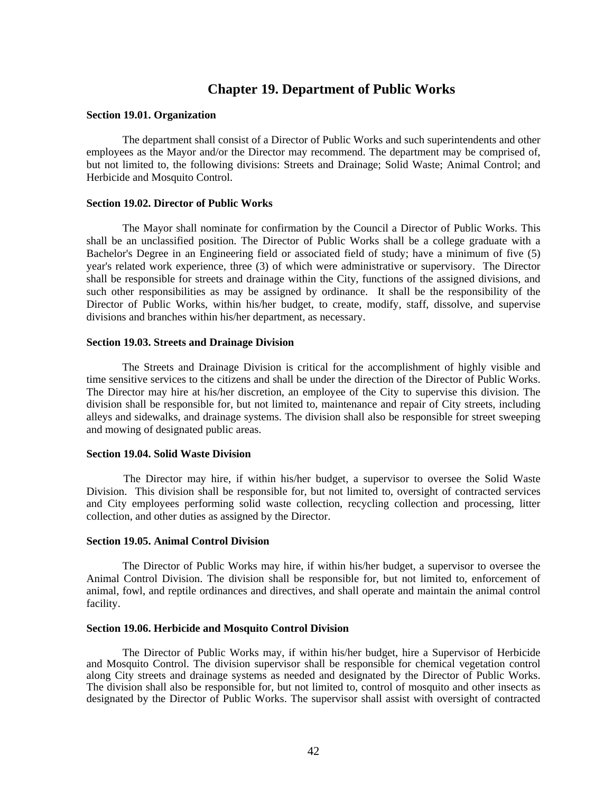# **Chapter 19. Department of Public Works**

#### **Section 19.01. Organization**

The department shall consist of a Director of Public Works and such superintendents and other employees as the Mayor and/or the Director may recommend. The department may be comprised of, but not limited to, the following divisions: Streets and Drainage; Solid Waste; Animal Control; and Herbicide and Mosquito Control.

#### **Section 19.02. Director of Public Works**

The Mayor shall nominate for confirmation by the Council a Director of Public Works. This shall be an unclassified position. The Director of Public Works shall be a college graduate with a Bachelor's Degree in an Engineering field or associated field of study; have a minimum of five (5) year's related work experience, three (3) of which were administrative or supervisory. The Director shall be responsible for streets and drainage within the City, functions of the assigned divisions, and such other responsibilities as may be assigned by ordinance. It shall be the responsibility of the Director of Public Works, within his/her budget, to create, modify, staff, dissolve, and supervise divisions and branches within his/her department, as necessary.

#### **Section 19.03. Streets and Drainage Division**

The Streets and Drainage Division is critical for the accomplishment of highly visible and time sensitive services to the citizens and shall be under the direction of the Director of Public Works. The Director may hire at his/her discretion, an employee of the City to supervise this division. The division shall be responsible for, but not limited to, maintenance and repair of City streets, including alleys and sidewalks, and drainage systems. The division shall also be responsible for street sweeping and mowing of designated public areas.

#### **Section 19.04. Solid Waste Division**

The Director may hire, if within his/her budget, a supervisor to oversee the Solid Waste Division. This division shall be responsible for, but not limited to, oversight of contracted services and City employees performing solid waste collection, recycling collection and processing, litter collection, and other duties as assigned by the Director.

#### **Section 19.05. Animal Control Division**

The Director of Public Works may hire, if within his/her budget, a supervisor to oversee the Animal Control Division. The division shall be responsible for, but not limited to, enforcement of animal, fowl, and reptile ordinances and directives, and shall operate and maintain the animal control facility.

#### **Section 19.06. Herbicide and Mosquito Control Division**

The Director of Public Works may, if within his/her budget, hire a Supervisor of Herbicide and Mosquito Control. The division supervisor shall be responsible for chemical vegetation control along City streets and drainage systems as needed and designated by the Director of Public Works. The division shall also be responsible for, but not limited to, control of mosquito and other insects as designated by the Director of Public Works. The supervisor shall assist with oversight of contracted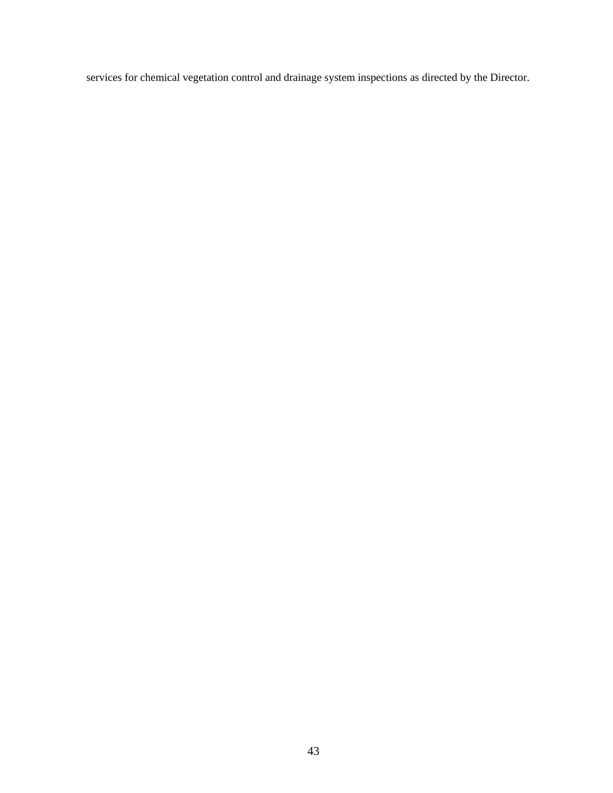services for chemical vegetation control and drainage system inspections as directed by the Director.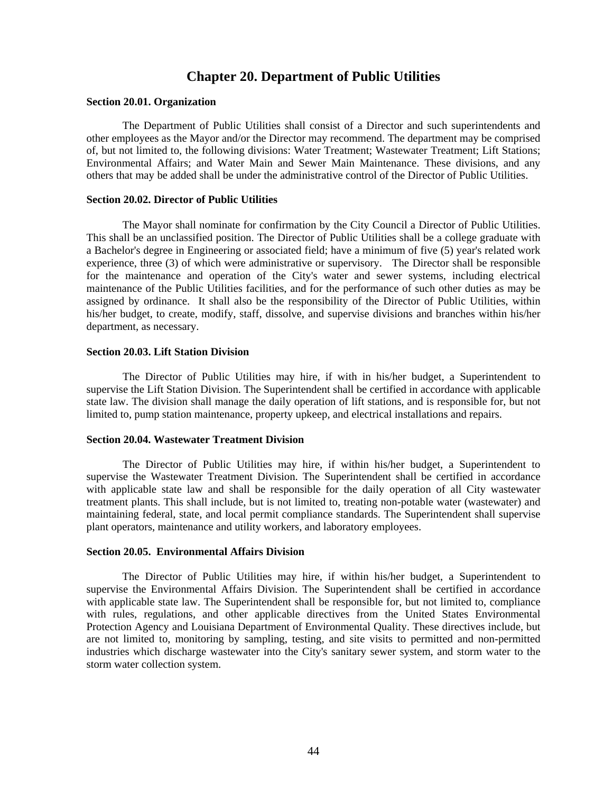# **Chapter 20. Department of Public Utilities**

#### **Section 20.01. Organization**

The Department of Public Utilities shall consist of a Director and such superintendents and other employees as the Mayor and/or the Director may recommend. The department may be comprised of, but not limited to, the following divisions: Water Treatment; Wastewater Treatment; Lift Stations; Environmental Affairs; and Water Main and Sewer Main Maintenance. These divisions, and any others that may be added shall be under the administrative control of the Director of Public Utilities.

#### **Section 20.02. Director of Public Utilities**

The Mayor shall nominate for confirmation by the City Council a Director of Public Utilities. This shall be an unclassified position. The Director of Public Utilities shall be a college graduate with a Bachelor's degree in Engineering or associated field; have a minimum of five (5) year's related work experience, three (3) of which were administrative or supervisory. The Director shall be responsible for the maintenance and operation of the City's water and sewer systems, including electrical maintenance of the Public Utilities facilities, and for the performance of such other duties as may be assigned by ordinance. It shall also be the responsibility of the Director of Public Utilities, within his/her budget, to create, modify, staff, dissolve, and supervise divisions and branches within his/her department, as necessary.

#### **Section 20.03. Lift Station Division**

The Director of Public Utilities may hire, if with in his/her budget, a Superintendent to supervise the Lift Station Division. The Superintendent shall be certified in accordance with applicable state law. The division shall manage the daily operation of lift stations, and is responsible for, but not limited to, pump station maintenance, property upkeep, and electrical installations and repairs.

#### **Section 20.04. Wastewater Treatment Division**

The Director of Public Utilities may hire, if within his/her budget, a Superintendent to supervise the Wastewater Treatment Division. The Superintendent shall be certified in accordance with applicable state law and shall be responsible for the daily operation of all City wastewater treatment plants. This shall include, but is not limited to, treating non-potable water (wastewater) and maintaining federal, state, and local permit compliance standards. The Superintendent shall supervise plant operators, maintenance and utility workers, and laboratory employees.

#### **Section 20.05. Environmental Affairs Division**

The Director of Public Utilities may hire, if within his/her budget, a Superintendent to supervise the Environmental Affairs Division. The Superintendent shall be certified in accordance with applicable state law. The Superintendent shall be responsible for, but not limited to, compliance with rules, regulations, and other applicable directives from the United States Environmental Protection Agency and Louisiana Department of Environmental Quality. These directives include, but are not limited to, monitoring by sampling, testing, and site visits to permitted and non-permitted industries which discharge wastewater into the City's sanitary sewer system, and storm water to the storm water collection system.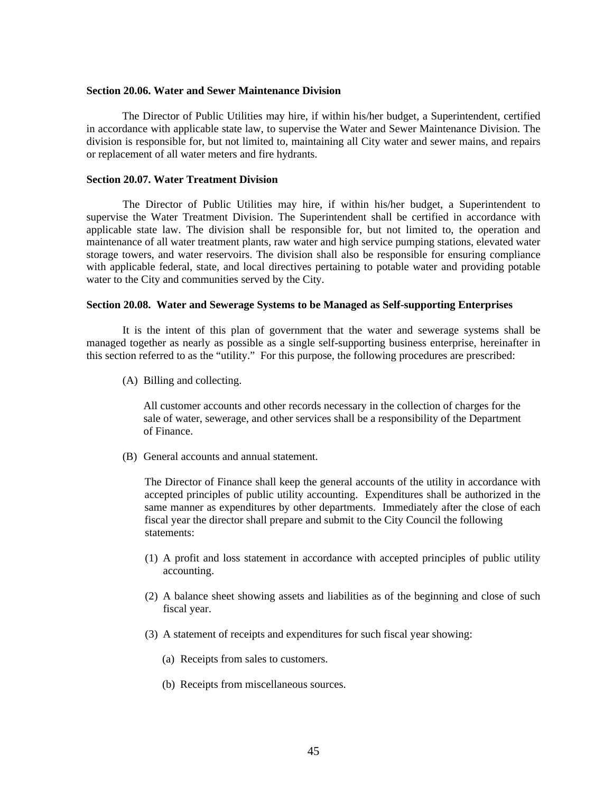#### **Section 20.06. Water and Sewer Maintenance Division**

The Director of Public Utilities may hire, if within his/her budget, a Superintendent, certified in accordance with applicable state law, to supervise the Water and Sewer Maintenance Division. The division is responsible for, but not limited to, maintaining all City water and sewer mains, and repairs or replacement of all water meters and fire hydrants.

#### **Section 20.07. Water Treatment Division**

The Director of Public Utilities may hire, if within his/her budget, a Superintendent to supervise the Water Treatment Division. The Superintendent shall be certified in accordance with applicable state law. The division shall be responsible for, but not limited to, the operation and maintenance of all water treatment plants, raw water and high service pumping stations, elevated water storage towers, and water reservoirs. The division shall also be responsible for ensuring compliance with applicable federal, state, and local directives pertaining to potable water and providing potable water to the City and communities served by the City.

#### **Section 20.08. Water and Sewerage Systems to be Managed as Self-supporting Enterprises**

 It is the intent of this plan of government that the water and sewerage systems shall be managed together as nearly as possible as a single self-supporting business enterprise, hereinafter in this section referred to as the "utility." For this purpose, the following procedures are prescribed:

(A) Billing and collecting.

All customer accounts and other records necessary in the collection of charges for the sale of water, sewerage, and other services shall be a responsibility of the Department of Finance.

(B) General accounts and annual statement.

 The Director of Finance shall keep the general accounts of the utility in accordance with accepted principles of public utility accounting. Expenditures shall be authorized in the same manner as expenditures by other departments. Immediately after the close of each fiscal year the director shall prepare and submit to the City Council the following statements:

- (1) A profit and loss statement in accordance with accepted principles of public utility accounting.
- (2) A balance sheet showing assets and liabilities as of the beginning and close of such fiscal year.
- (3) A statement of receipts and expenditures for such fiscal year showing:
	- (a) Receipts from sales to customers.
	- (b) Receipts from miscellaneous sources.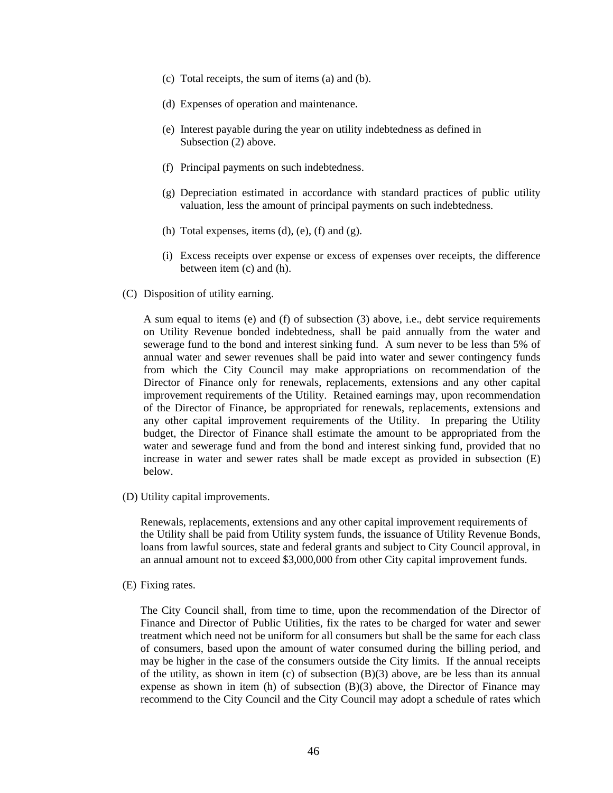- (c) Total receipts, the sum of items (a) and (b).
- (d) Expenses of operation and maintenance.
- (e) Interest payable during the year on utility indebtedness as defined in Subsection (2) above.
- (f) Principal payments on such indebtedness.
- (g) Depreciation estimated in accordance with standard practices of public utility valuation, less the amount of principal payments on such indebtedness.
- (h) Total expenses, items  $(d)$ ,  $(e)$ ,  $(f)$  and  $(g)$ .
- (i) Excess receipts over expense or excess of expenses over receipts, the difference between item (c) and (h).
- (C) Disposition of utility earning.

A sum equal to items (e) and (f) of subsection (3) above, i.e., debt service requirements on Utility Revenue bonded indebtedness, shall be paid annually from the water and sewerage fund to the bond and interest sinking fund. A sum never to be less than 5% of annual water and sewer revenues shall be paid into water and sewer contingency funds from which the City Council may make appropriations on recommendation of the Director of Finance only for renewals, replacements, extensions and any other capital improvement requirements of the Utility. Retained earnings may, upon recommendation of the Director of Finance, be appropriated for renewals, replacements, extensions and any other capital improvement requirements of the Utility. In preparing the Utility budget, the Director of Finance shall estimate the amount to be appropriated from the water and sewerage fund and from the bond and interest sinking fund, provided that no increase in water and sewer rates shall be made except as provided in subsection (E) below.

(D) Utility capital improvements.

Renewals, replacements, extensions and any other capital improvement requirements of the Utility shall be paid from Utility system funds, the issuance of Utility Revenue Bonds, loans from lawful sources, state and federal grants and subject to City Council approval, in an annual amount not to exceed \$3,000,000 from other City capital improvement funds.

(E) Fixing rates.

The City Council shall, from time to time, upon the recommendation of the Director of Finance and Director of Public Utilities, fix the rates to be charged for water and sewer treatment which need not be uniform for all consumers but shall be the same for each class of consumers, based upon the amount of water consumed during the billing period, and may be higher in the case of the consumers outside the City limits. If the annual receipts of the utility, as shown in item (c) of subsection  $(B)(3)$  above, are be less than its annual expense as shown in item (h) of subsection (B)(3) above, the Director of Finance may recommend to the City Council and the City Council may adopt a schedule of rates which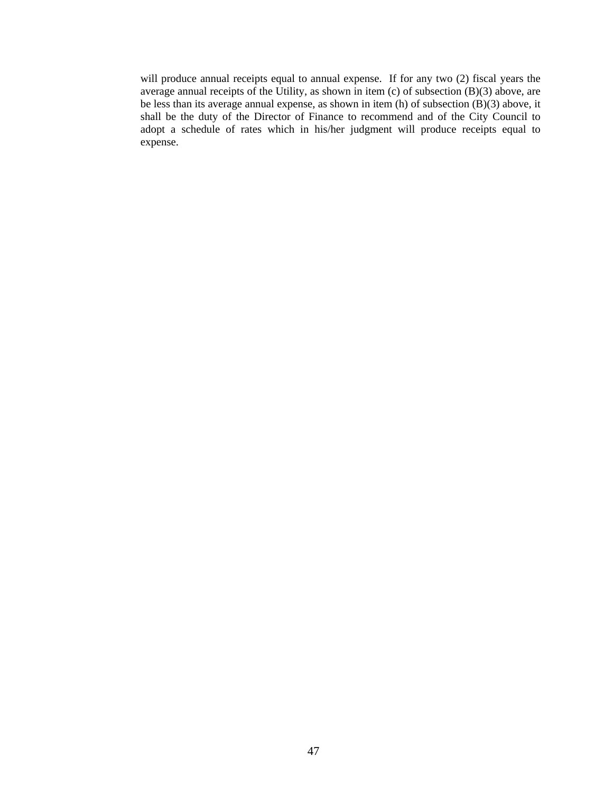will produce annual receipts equal to annual expense. If for any two (2) fiscal years the average annual receipts of the Utility, as shown in item (c) of subsection  $(B)(3)$  above, are be less than its average annual expense, as shown in item (h) of subsection (B)(3) above, it shall be the duty of the Director of Finance to recommend and of the City Council to adopt a schedule of rates which in his/her judgment will produce receipts equal to expense.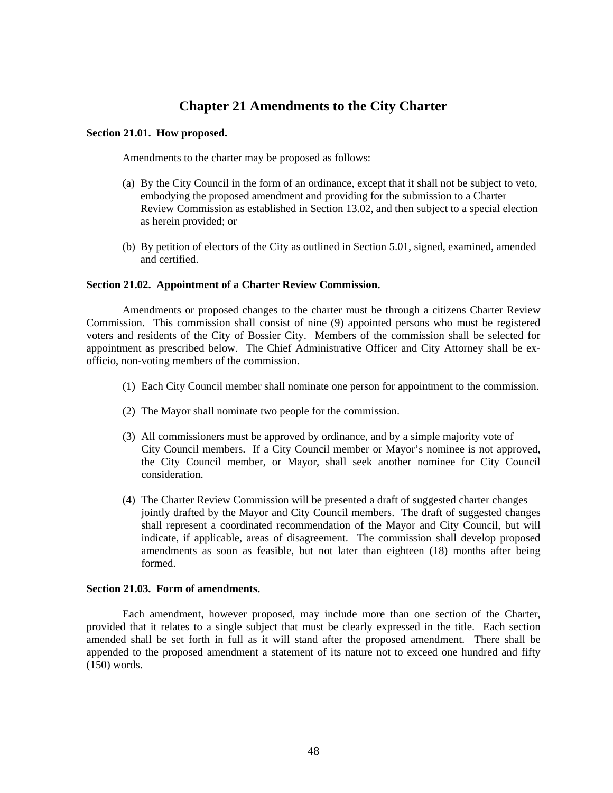# **Chapter 21 Amendments to the City Charter**

#### **Section 21.01. How proposed.**

Amendments to the charter may be proposed as follows:

- (a) By the City Council in the form of an ordinance, except that it shall not be subject to veto, embodying the proposed amendment and providing for the submission to a Charter Review Commission as established in Section 13.02, and then subject to a special election as herein provided; or
- (b) By petition of electors of the City as outlined in Section 5.01, signed, examined, amended and certified.

#### **Section 21.02. Appointment of a Charter Review Commission.**

 Amendments or proposed changes to the charter must be through a citizens Charter Review Commission. This commission shall consist of nine (9) appointed persons who must be registered voters and residents of the City of Bossier City. Members of the commission shall be selected for appointment as prescribed below. The Chief Administrative Officer and City Attorney shall be exofficio, non-voting members of the commission.

- (1) Each City Council member shall nominate one person for appointment to the commission.
- (2) The Mayor shall nominate two people for the commission.
- (3) All commissioners must be approved by ordinance, and by a simple majority vote of City Council members. If a City Council member or Mayor's nominee is not approved, the City Council member, or Mayor, shall seek another nominee for City Council consideration.
- (4) The Charter Review Commission will be presented a draft of suggested charter changes jointly drafted by the Mayor and City Council members. The draft of suggested changes shall represent a coordinated recommendation of the Mayor and City Council, but will indicate, if applicable, areas of disagreement. The commission shall develop proposed amendments as soon as feasible, but not later than eighteen (18) months after being formed.

#### **Section 21.03. Form of amendments.**

 Each amendment, however proposed, may include more than one section of the Charter, provided that it relates to a single subject that must be clearly expressed in the title. Each section amended shall be set forth in full as it will stand after the proposed amendment. There shall be appended to the proposed amendment a statement of its nature not to exceed one hundred and fifty (150) words.